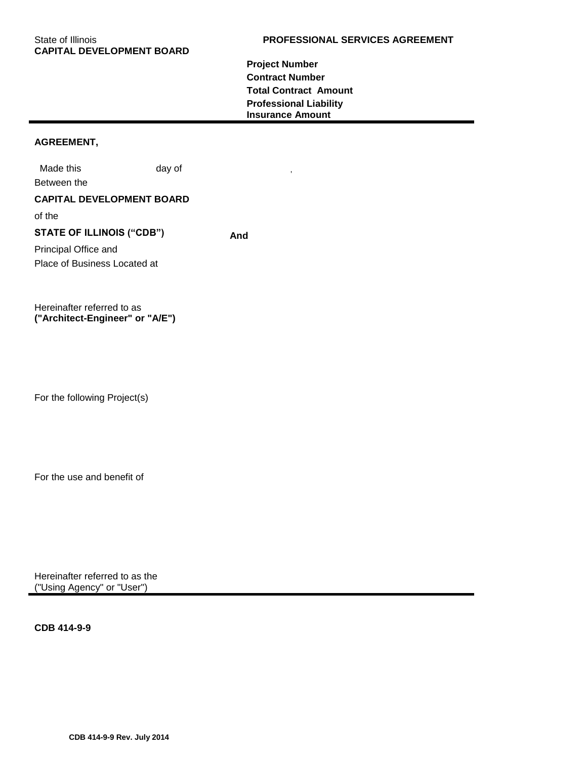**Project Number Contract Number Total Contract Amount Professional Liability Insurance Amount** 

## **AGREEMENT,**

Made this day of Between the **CAPITAL DEVELOPMENT BOARD** of the **STATE OF ILLINOIS ("CDB") And** Principal Office and Place of Business Located at

Hereinafter referred to as **("Architect-Engineer" or "A/E")**

For the following Project(s)

For the use and benefit of

Hereinafter referred to as the ("Using Agency" or "User")

**CDB 414-9-9**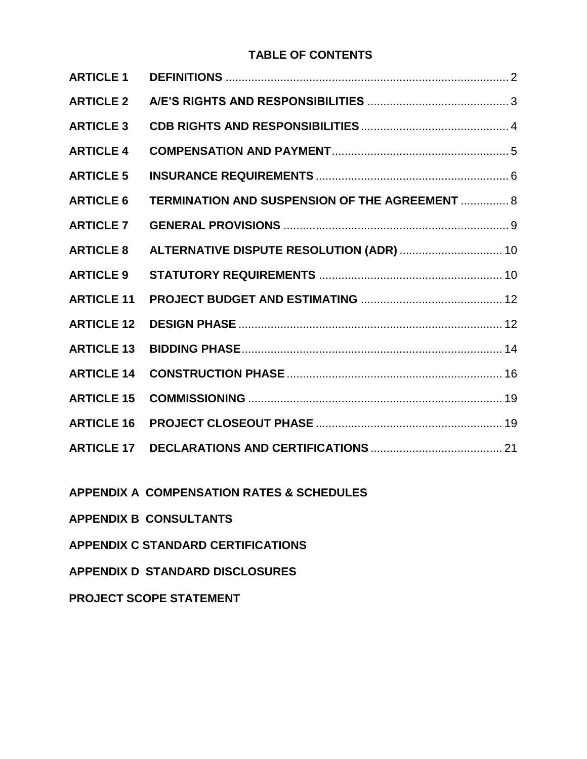## **TABLE OF CONTENTS**

| TERMINATION AND SUSPENSION OF THE AGREEMENT  8 |
|------------------------------------------------|
|                                                |
| ALTERNATIVE DISPUTE RESOLUTION (ADR)  10       |
|                                                |
|                                                |
|                                                |
|                                                |
|                                                |
|                                                |
|                                                |
|                                                |
|                                                |

**APPENDIX A COMPENSATION RATES & SCHEDULES**

**APPENDIX B CONSULTANTS**

**APPENDIX C STANDARD CERTIFICATIONS**

**APPENDIX D STANDARD DISCLOSURES**

**PROJECT SCOPE STATEMENT**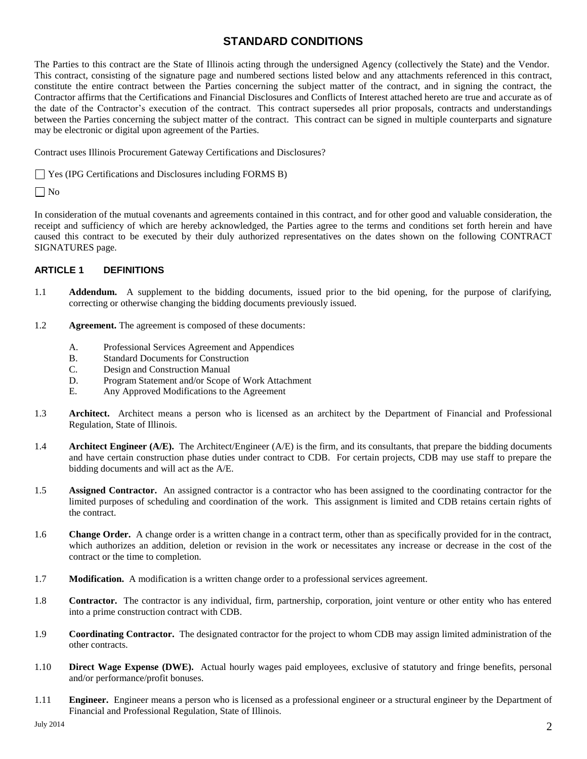## **STANDARD CONDITIONS**

The Parties to this contract are the State of Illinois acting through the undersigned Agency (collectively the State) and the Vendor. This contract, consisting of the signature page and numbered sections listed below and any attachments referenced in this contract, constitute the entire contract between the Parties concerning the subject matter of the contract, and in signing the contract, the Contractor affirms that the Certifications and Financial Disclosures and Conflicts of Interest attached hereto are true and accurate as of the date of the Contractor's execution of the contract. This contract supersedes all prior proposals, contracts and understandings between the Parties concerning the subject matter of the contract. This contract can be signed in multiple counterparts and signature may be electronic or digital upon agreement of the Parties.

Contract uses Illinois Procurement Gateway Certifications and Disclosures?

Yes (IPG Certifications and Disclosures including FORMS B)

 $\Box$  No

In consideration of the mutual covenants and agreements contained in this contract, and for other good and valuable consideration, the receipt and sufficiency of which are hereby acknowledged, the Parties agree to the terms and conditions set forth herein and have caused this contract to be executed by their duly authorized representatives on the dates shown on the following CONTRACT SIGNATURES page.

## <span id="page-3-0"></span>**ARTICLE 1 DEFINITIONS**

- 1.1 **Addendum.** A supplement to the bidding documents, issued prior to the bid opening, for the purpose of clarifying, correcting or otherwise changing the bidding documents previously issued.
- 1.2 **Agreement.** The agreement is composed of these documents:
	- A. Professional Services Agreement and Appendices
	- B. Standard Documents for Construction
	- C. Design and Construction Manual
	- D. Program Statement and/or Scope of Work Attachment
	- E. Any Approved Modifications to the Agreement
- 1.3 **Architect.** Architect means a person who is licensed as an architect by the Department of Financial and Professional Regulation, State of Illinois.
- 1.4 **Architect Engineer (A/E).** The Architect/Engineer (A/E) is the firm, and its consultants, that prepare the bidding documents and have certain construction phase duties under contract to CDB. For certain projects, CDB may use staff to prepare the bidding documents and will act as the A/E.
- 1.5 **Assigned Contractor.** An assigned contractor is a contractor who has been assigned to the coordinating contractor for the limited purposes of scheduling and coordination of the work. This assignment is limited and CDB retains certain rights of the contract.
- 1.6 **Change Order.** A change order is a written change in a contract term, other than as specifically provided for in the contract, which authorizes an addition, deletion or revision in the work or necessitates any increase or decrease in the cost of the contract or the time to completion.
- 1.7 **Modification.** A modification is a written change order to a professional services agreement.
- 1.8 **Contractor.** The contractor is any individual, firm, partnership, corporation, joint venture or other entity who has entered into a prime construction contract with CDB.
- 1.9 **Coordinating Contractor.** The designated contractor for the project to whom CDB may assign limited administration of the other contracts.
- 1.10 **Direct Wage Expense (DWE).** Actual hourly wages paid employees, exclusive of statutory and fringe benefits, personal and/or performance/profit bonuses.
- 1.11 **Engineer.** Engineer means a person who is licensed as a professional engineer or a structural engineer by the Department of Financial and Professional Regulation, State of Illinois.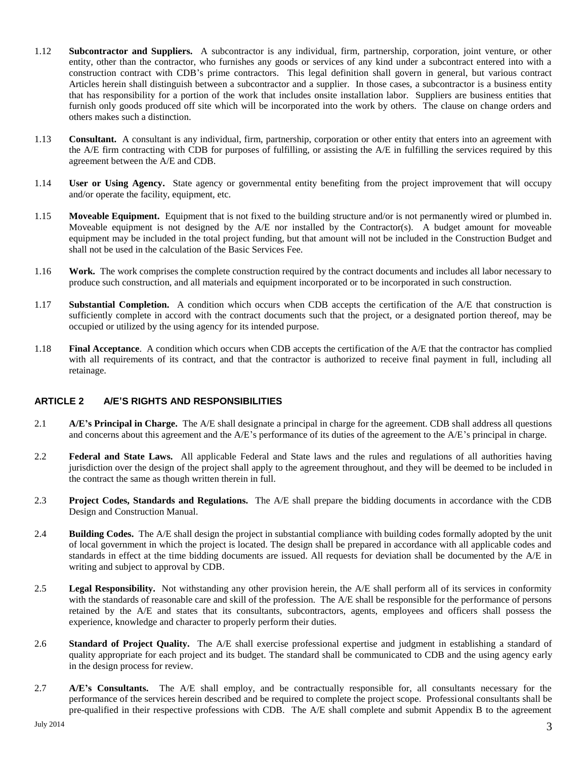- 1.12 **Subcontractor and Suppliers.** A subcontractor is any individual, firm, partnership, corporation, joint venture, or other entity, other than the contractor, who furnishes any goods or services of any kind under a subcontract entered into with a construction contract with CDB's prime contractors. This legal definition shall govern in general, but various contract Articles herein shall distinguish between a subcontractor and a supplier. In those cases, a subcontractor is a business entity that has responsibility for a portion of the work that includes onsite installation labor. Suppliers are business entities that furnish only goods produced off site which will be incorporated into the work by others. The clause on change orders and others makes such a distinction.
- 1.13 **Consultant.** A consultant is any individual, firm, partnership, corporation or other entity that enters into an agreement with the A/E firm contracting with CDB for purposes of fulfilling, or assisting the A/E in fulfilling the services required by this agreement between the A/E and CDB.
- 1.14 **User or Using Agency.** State agency or governmental entity benefiting from the project improvement that will occupy and/or operate the facility, equipment, etc.
- 1.15 **Moveable Equipment.** Equipment that is not fixed to the building structure and/or is not permanently wired or plumbed in. Moveable equipment is not designed by the A/E nor installed by the Contractor(s). A budget amount for moveable equipment may be included in the total project funding, but that amount will not be included in the Construction Budget and shall not be used in the calculation of the Basic Services Fee.
- 1.16 **Work.** The work comprises the complete construction required by the contract documents and includes all labor necessary to produce such construction, and all materials and equipment incorporated or to be incorporated in such construction.
- 1.17 **Substantial Completion.** A condition which occurs when CDB accepts the certification of the A/E that construction is sufficiently complete in accord with the contract documents such that the project, or a designated portion thereof, may be occupied or utilized by the using agency for its intended purpose.
- 1.18 **Final Acceptance**. A condition which occurs when CDB accepts the certification of the A/E that the contractor has complied with all requirements of its contract, and that the contractor is authorized to receive final payment in full, including all retainage.

## <span id="page-4-0"></span>**ARTICLE 2 A/E'S RIGHTS AND RESPONSIBILITIES**

- 2.1 **A/E's Principal in Charge.** The A/E shall designate a principal in charge for the agreement. CDB shall address all questions and concerns about this agreement and the A/E's performance of its duties of the agreement to the A/E's principal in charge.
- 2.2 **Federal and State Laws.** All applicable Federal and State laws and the rules and regulations of all authorities having jurisdiction over the design of the project shall apply to the agreement throughout, and they will be deemed to be included in the contract the same as though written therein in full.
- 2.3 **Project Codes, Standards and Regulations.** The A/E shall prepare the bidding documents in accordance with the CDB Design and Construction Manual.
- 2.4 **Building Codes.** The A/E shall design the project in substantial compliance with building codes formally adopted by the unit of local government in which the project is located. The design shall be prepared in accordance with all applicable codes and standards in effect at the time bidding documents are issued. All requests for deviation shall be documented by the A/E in writing and subject to approval by CDB.
- 2.5 **Legal Responsibility.** Not withstanding any other provision herein, the A/E shall perform all of its services in conformity with the standards of reasonable care and skill of the profession. The A/E shall be responsible for the performance of persons retained by the A/E and states that its consultants, subcontractors, agents, employees and officers shall possess the experience, knowledge and character to properly perform their duties.
- 2.6 **Standard of Project Quality.** The A/E shall exercise professional expertise and judgment in establishing a standard of quality appropriate for each project and its budget. The standard shall be communicated to CDB and the using agency early in the design process for review.
- 2.7 **A/E's Consultants.** The A/E shall employ, and be contractually responsible for, all consultants necessary for the performance of the services herein described and be required to complete the project scope. Professional consultants shall be pre-qualified in their respective professions with CDB. The A/E shall complete and submit Appendix B to the agreement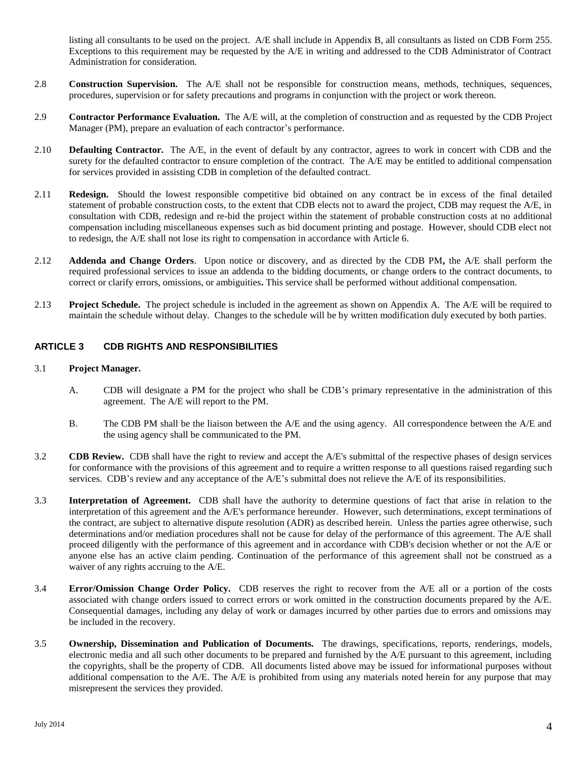listing all consultants to be used on the project. A/E shall include in Appendix B, all consultants as listed on CDB Form 255. Exceptions to this requirement may be requested by the A/E in writing and addressed to the CDB Administrator of Contract Administration for consideration.

- 2.8 **Construction Supervision.** The A/E shall not be responsible for construction means, methods, techniques, sequences, procedures, supervision or for safety precautions and programs in conjunction with the project or work thereon.
- 2.9 **Contractor Performance Evaluation.** The A/E will, at the completion of construction and as requested by the CDB Project Manager (PM), prepare an evaluation of each contractor's performance.
- 2.10 **Defaulting Contractor.** The A/E, in the event of default by any contractor, agrees to work in concert with CDB and the surety for the defaulted contractor to ensure completion of the contract. The A/E may be entitled to additional compensation for services provided in assisting CDB in completion of the defaulted contract.
- 2.11 **Redesign.** Should the lowest responsible competitive bid obtained on any contract be in excess of the final detailed statement of probable construction costs, to the extent that CDB elects not to award the project, CDB may request the A/E, in consultation with CDB, redesign and re-bid the project within the statement of probable construction costs at no additional compensation including miscellaneous expenses such as bid document printing and postage. However, should CDB elect not to redesign, the A/E shall not lose its right to compensation in accordance with Article 6.
- 2.12 **Addenda and Change Orders**. Upon notice or discovery, and as directed by the CDB PM**,** the A/E shall perform the required professional services to issue an addenda to the bidding documents, or change orders to the contract documents, to correct or clarify errors, omissions, or ambiguities**.** This service shall be performed without additional compensation.
- 2.13 **Project Schedule.** The project schedule is included in the agreement as shown on Appendix A. The A/E will be required to maintain the schedule without delay. Changes to the schedule will be by written modification duly executed by both parties.

## **ARTICLE 3 CDB RIGHTS AND RESPONSIBILITIES**

#### 3.1 **Project Manager.**

- <span id="page-5-0"></span>A. CDB will designate a PM for the project who shall be CDB's primary representative in the administration of this agreement. The A/E will report to the PM.
- B. The CDB PM shall be the liaison between the A/E and the using agency. All correspondence between the A/E and the using agency shall be communicated to the PM.
- 3.2 **CDB Review.** CDB shall have the right to review and accept the A/E's submittal of the respective phases of design services for conformance with the provisions of this agreement and to require a written response to all questions raised regarding such services. CDB's review and any acceptance of the A/E's submittal does not relieve the A/E of its responsibilities.
- 3.3 **Interpretation of Agreement.** CDB shall have the authority to determine questions of fact that arise in relation to the interpretation of this agreement and the A/E's performance hereunder. However, such determinations, except terminations of the contract, are subject to alternative dispute resolution (ADR) as described herein. Unless the parties agree otherwise, such determinations and/or mediation procedures shall not be cause for delay of the performance of this agreement. The A/E shall proceed diligently with the performance of this agreement and in accordance with CDB's decision whether or not the A/E or anyone else has an active claim pending. Continuation of the performance of this agreement shall not be construed as a waiver of any rights accruing to the A/E.
- 3.4 **Error/Omission Change Order Policy.** CDB reserves the right to recover from the A/E all or a portion of the costs associated with change orders issued to correct errors or work omitted in the construction documents prepared by the A/E. Consequential damages, including any delay of work or damages incurred by other parties due to errors and omissions may be included in the recovery.
- 3.5 **Ownership, Dissemination and Publication of Documents.** The drawings, specifications, reports, renderings, models, electronic media and all such other documents to be prepared and furnished by the A/E pursuant to this agreement, including the copyrights, shall be the property of CDB. All documents listed above may be issued for informational purposes without additional compensation to the  $A/E$ . The  $A/E$  is prohibited from using any materials noted herein for any purpose that may misrepresent the services they provided.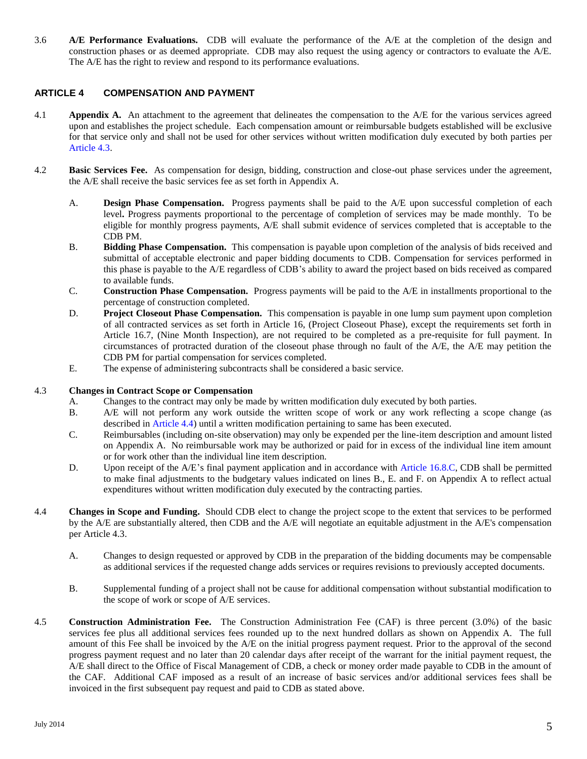3.6 **A/E Performance Evaluations.** CDB will evaluate the performance of the A/E at the completion of the design and construction phases or as deemed appropriate. CDB may also request the using agency or contractors to evaluate the A/E. The A/E has the right to review and respond to its performance evaluations.

## <span id="page-6-0"></span>**ARTICLE 4 COMPENSATION AND PAYMENT**

- 4.1 **Appendix A.** An attachment to the agreement that delineates the compensation to the A/E for the various services agreed upon and establishes the project schedule. Each compensation amount or reimbursable budgets established will be exclusive for that service only and shall not be used for other services without written modification duly executed by both parties per Article 4.3.
- 4.2 **Basic Services Fee.** As compensation for design, bidding, construction and close-out phase services under the agreement, the A/E shall receive the basic services fee as set forth in Appendix A.
	- A. **Design Phase Compensation.** Progress payments shall be paid to the A/E upon successful completion of each level**.** Progress payments proportional to the percentage of completion of services may be made monthly. To be eligible for monthly progress payments, A/E shall submit evidence of services completed that is acceptable to the CDB PM.
	- B. **Bidding Phase Compensation.** This compensation is payable upon completion of the analysis of bids received and submittal of acceptable electronic and paper bidding documents to CDB. Compensation for services performed in this phase is payable to the A/E regardless of CDB's ability to award the project based on bids received as compared to available funds.
	- C. **Construction Phase Compensation.** Progress payments will be paid to the A/E in installments proportional to the percentage of construction completed.
	- D. **Project Closeout Phase Compensation.** This compensation is payable in one lump sum payment upon completion of all contracted services as set forth in Article 16, (Project Closeout Phase), except the requirements set forth in Article 16.7, (Nine Month Inspection), are not required to be completed as a pre-requisite for full payment. In circumstances of protracted duration of the closeout phase through no fault of the A/E, the A/E may petition the CDB PM for partial compensation for services completed.
	- E. The expense of administering subcontracts shall be considered a basic service.

## 4.3 **Changes in Contract Scope or Compensation**

- A. Changes to the contract may only be made by written modification duly executed by both parties.
- B. A/E will not perform any work outside the written scope of work or any work reflecting a scope change (as described in Article 4.4) until a written modification pertaining to same has been executed.
- C. Reimbursables (including on-site observation) may only be expended per the line-item description and amount listed on Appendix A. No reimbursable work may be authorized or paid for in excess of the individual line item amount or for work other than the individual line item description.
- D. Upon receipt of the A/E's final payment application and in accordance with Article 16.8.C, CDB shall be permitted to make final adjustments to the budgetary values indicated on lines B., E. and F. on Appendix A to reflect actual expenditures without written modification duly executed by the contracting parties.
- 4.4 **Changes in Scope and Funding.** Should CDB elect to change the project scope to the extent that services to be performed by the A/E are substantially altered, then CDB and the A/E will negotiate an equitable adjustment in the A/E's compensation per Article 4.3.
	- A. Changes to design requested or approved by CDB in the preparation of the bidding documents may be compensable as additional services if the requested change adds services or requires revisions to previously accepted documents.
	- B. Supplemental funding of a project shall not be cause for additional compensation without substantial modification to the scope of work or scope of A/E services.
- 4.5 **Construction Administration Fee.** The Construction Administration Fee (CAF) is three percent (3.0%) of the basic services fee plus all additional services fees rounded up to the next hundred dollars as shown on Appendix A. The full amount of this Fee shall be invoiced by the A/E on the initial progress payment request. Prior to the approval of the second progress payment request and no later than 20 calendar days after receipt of the warrant for the initial payment request, the A/E shall direct to the Office of Fiscal Management of CDB, a check or money order made payable to CDB in the amount of the CAF. Additional CAF imposed as a result of an increase of basic services and/or additional services fees shall be invoiced in the first subsequent pay request and paid to CDB as stated above.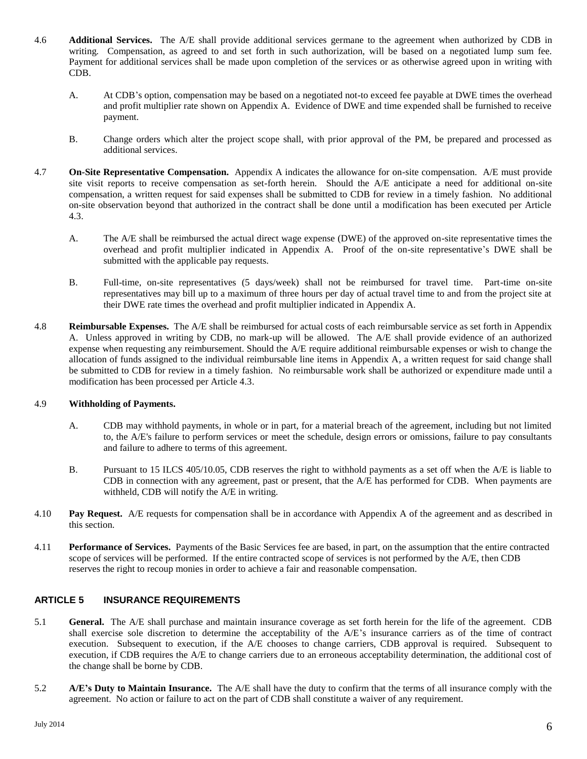- 4.6 **Additional Services.** The A/E shall provide additional services germane to the agreement when authorized by CDB in writing*.* Compensation, as agreed to and set forth in such authorization*,* will be based on a negotiated lump sum fee. Payment for additional services shall be made upon completion of the services or as otherwise agreed upon in writing with CDB.
	- A. At CDB's option, compensation may be based on a negotiated not-to exceed fee payable at DWE times the overhead and profit multiplier rate shown on Appendix A. Evidence of DWE and time expended shall be furnished to receive payment.
	- B. Change orders which alter the project scope shall, with prior approval of the PM, be prepared and processed as additional services.
- 4.7 **On-Site Representative Compensation.** Appendix A indicates the allowance for on-site compensation. A/E must provide site visit reports to receive compensation as set-forth herein. Should the A/E anticipate a need for additional on-site compensation, a written request for said expenses shall be submitted to CDB for review in a timely fashion. No additional on-site observation beyond that authorized in the contract shall be done until a modification has been executed per Article 4.3.
	- A. The A/E shall be reimbursed the actual direct wage expense (DWE) of the approved on-site representative times the overhead and profit multiplier indicated in Appendix A. Proof of the on-site representative's DWE shall be submitted with the applicable pay requests.
	- B. Full-time, on-site representatives (5 days/week) shall not be reimbursed for travel time. Part-time on-site representatives may bill up to a maximum of three hours per day of actual travel time to and from the project site at their DWE rate times the overhead and profit multiplier indicated in Appendix A.
- 4.8 **Reimbursable Expenses.** The A/E shall be reimbursed for actual costs of each reimbursable service as set forth in Appendix A. Unless approved in writing by CDB, no mark-up will be allowed. The A/E shall provide evidence of an authorized expense when requesting any reimbursement. Should the A/E require additional reimbursable expenses or wish to change the allocation of funds assigned to the individual reimbursable line items in Appendix A, a written request for said change shall be submitted to CDB for review in a timely fashion. No reimbursable work shall be authorized or expenditure made until a modification has been processed per Article 4.3.

#### 4.9 **Withholding of Payments.**

- A. CDB may withhold payments, in whole or in part, for a material breach of the agreement, including but not limited to, the A/E's failure to perform services or meet the schedule, design errors or omissions, failure to pay consultants and failure to adhere to terms of this agreement.
- B. Pursuant to 15 ILCS 405/10.05, CDB reserves the right to withhold payments as a set off when the A/E is liable to CDB in connection with any agreement, past or present, that the A/E has performed for CDB. When payments are withheld, CDB will notify the A/E in writing.
- 4.10 **Pay Request.** A/E requests for compensation shall be in accordance with Appendix A of the agreement and as described in this section.
- 4.11 **Performance of Services.** Payments of the Basic Services fee are based, in part, on the assumption that the entire contracted scope of services will be performed. If the entire contracted scope of services is not performed by the A/E, then CDB reserves the right to recoup monies in order to achieve a fair and reasonable compensation.

#### <span id="page-7-0"></span>**ARTICLE 5 INSURANCE REQUIREMENTS**

- 5.1 **General.** The A/E shall purchase and maintain insurance coverage as set forth herein for the life of the agreement. CDB shall exercise sole discretion to determine the acceptability of the A/E's insurance carriers as of the time of contract execution. Subsequent to execution, if the A/E chooses to change carriers, CDB approval is required. Subsequent to execution, if CDB requires the A/E to change carriers due to an erroneous acceptability determination, the additional cost of the change shall be borne by CDB.
- 5.2 **A/E's Duty to Maintain Insurance.** The A/E shall have the duty to confirm that the terms of all insurance comply with the agreement. No action or failure to act on the part of CDB shall constitute a waiver of any requirement.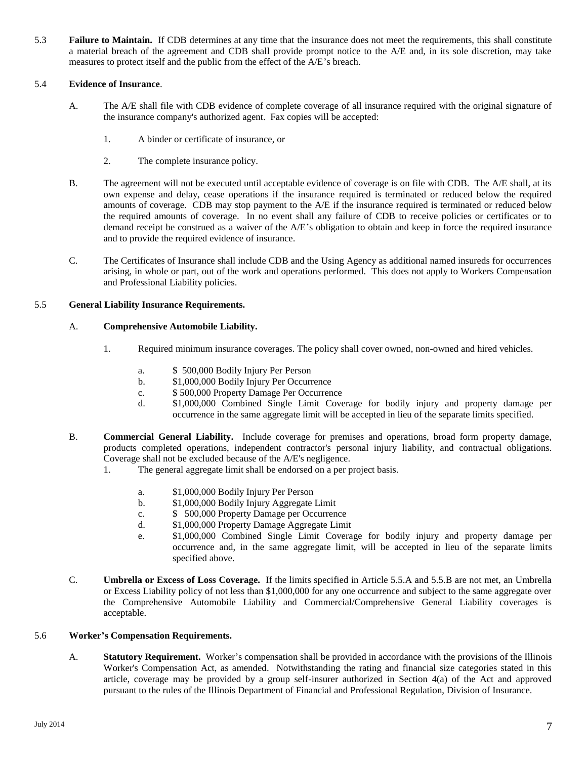5.3 **Failure to Maintain.** If CDB determines at any time that the insurance does not meet the requirements, this shall constitute a material breach of the agreement and CDB shall provide prompt notice to the A/E and, in its sole discretion, may take measures to protect itself and the public from the effect of the A/E's breach.

#### 5.4 **Evidence of Insurance**.

- A. The A/E shall file with CDB evidence of complete coverage of all insurance required with the original signature of the insurance company's authorized agent. Fax copies will be accepted:
	- 1. A binder or certificate of insurance, or
	- 2. The complete insurance policy.
- B. The agreement will not be executed until acceptable evidence of coverage is on file with CDB. The A/E shall, at its own expense and delay, cease operations if the insurance required is terminated or reduced below the required amounts of coverage. CDB may stop payment to the A/E if the insurance required is terminated or reduced below the required amounts of coverage. In no event shall any failure of CDB to receive policies or certificates or to demand receipt be construed as a waiver of the A/E's obligation to obtain and keep in force the required insurance and to provide the required evidence of insurance.
- C. The Certificates of Insurance shall include CDB and the Using Agency as additional named insureds for occurrences arising, in whole or part, out of the work and operations performed. This does not apply to Workers Compensation and Professional Liability policies.

#### 5.5 **General Liability Insurance Requirements.**

#### A. **Comprehensive Automobile Liability.**

- 1. Required minimum insurance coverages. The policy shall cover owned, non-owned and hired vehicles.
	- a. \$ 500,000 Bodily Injury Per Person
	- b. \$1,000,000 Bodily Injury Per Occurrence
	- c. \$ 500,000 Property Damage Per Occurrence
	- d. \$1,000,000 Combined Single Limit Coverage for bodily injury and property damage per occurrence in the same aggregate limit will be accepted in lieu of the separate limits specified.
- B. **Commercial General Liability.** Include coverage for premises and operations, broad form property damage, products completed operations, independent contractor's personal injury liability, and contractual obligations. Coverage shall not be excluded because of the A/E's negligence.
	- 1. The general aggregate limit shall be endorsed on a per project basis.
		- a. \$1,000,000 Bodily Injury Per Person
		- b. \$1,000,000 Bodily Injury Aggregate Limit
		- c. \$ 500,000 Property Damage per Occurrence
		- d. \$1,000,000 Property Damage Aggregate Limit
		- e. \$1,000,000 Combined Single Limit Coverage for bodily injury and property damage per occurrence and, in the same aggregate limit, will be accepted in lieu of the separate limits specified above.
- C. **Umbrella or Excess of Loss Coverage.** If the limits specified in Article 5.5.A and 5.5.B are not met, an Umbrella or Excess Liability policy of not less than \$1,000,000 for any one occurrence and subject to the same aggregate over the Comprehensive Automobile Liability and Commercial/Comprehensive General Liability coverages is acceptable.

#### 5.6 **Worker's Compensation Requirements.**

A. **Statutory Requirement.** Worker's compensation shall be provided in accordance with the provisions of the Illinois Worker's Compensation Act, as amended. Notwithstanding the rating and financial size categories stated in this article, coverage may be provided by a group self-insurer authorized in Section 4(a) of the Act and approved pursuant to the rules of the Illinois Department of Financial and Professional Regulation, Division of Insurance.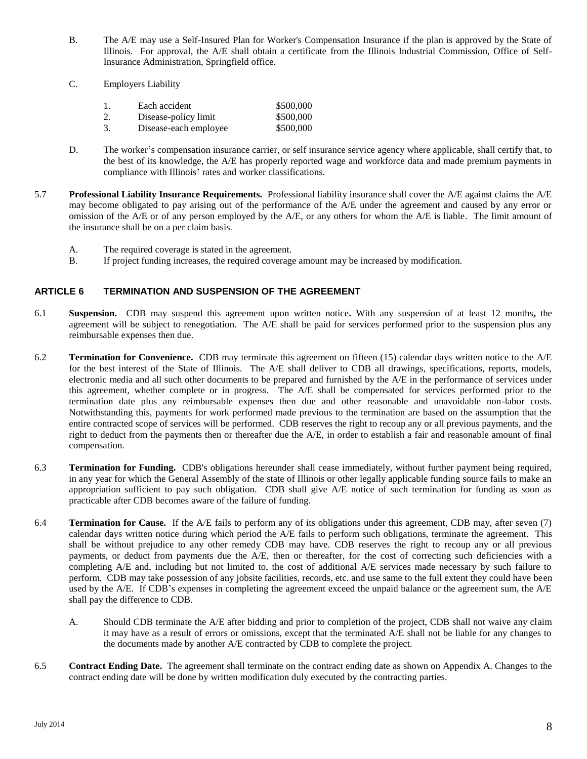- B. The A/E may use a Self-Insured Plan for Worker's Compensation Insurance if the plan is approved by the State of Illinois. For approval, the A/E shall obtain a certificate from the Illinois Industrial Commission, Office of Self-Insurance Administration, Springfield office.
- C. Employers Liability

<span id="page-9-0"></span>

|    | Each accident         | \$500,000 |
|----|-----------------------|-----------|
|    | Disease-policy limit  | \$500,000 |
| 3. | Disease-each employee | \$500,000 |

- D. The worker's compensation insurance carrier, or self insurance service agency where applicable, shall certify that, to the best of its knowledge, the A/E has properly reported wage and workforce data and made premium payments in compliance with Illinois' rates and worker classifications.
- 5.7 **Professional Liability Insurance Requirements.** Professional liability insurance shall cover the A/E against claims the A/E may become obligated to pay arising out of the performance of the A/E under the agreement and caused by any error or omission of the A/E or of any person employed by the A/E, or any others for whom the A/E is liable. The limit amount of the insurance shall be on a per claim basis.
	- A. The required coverage is stated in the agreement.
	- B. If project funding increases, the required coverage amount may be increased by modification.

## **ARTICLE 6 TERMINATION AND SUSPENSION OF THE AGREEMENT**

- 6.1 **Suspension.** CDB may suspend this agreement upon written notice**.** With any suspension of at least 12 months**,** the agreement will be subject to renegotiation. The A/E shall be paid for services performed prior to the suspension plus any reimbursable expenses then due.
- 6.2 **Termination for Convenience.** CDB may terminate this agreement on fifteen (15) calendar days written notice to the A/E for the best interest of the State of Illinois. The A/E shall deliver to CDB all drawings, specifications, reports, models, electronic media and all such other documents to be prepared and furnished by the A/E in the performance of services under this agreement, whether complete or in progress. The A/E shall be compensated for services performed prior to the termination date plus any reimbursable expenses then due and other reasonable and unavoidable non-labor costs. Notwithstanding this, payments for work performed made previous to the termination are based on the assumption that the entire contracted scope of services will be performed. CDB reserves the right to recoup any or all previous payments, and the right to deduct from the payments then or thereafter due the A/E, in order to establish a fair and reasonable amount of final compensation.
- 6.3 **Termination for Funding.** CDB's obligations hereunder shall cease immediately, without further payment being required, in any year for which the General Assembly of the state of Illinois or other legally applicable funding source fails to make an appropriation sufficient to pay such obligation. CDB shall give A/E notice of such termination for funding as soon as practicable after CDB becomes aware of the failure of funding.
- 6.4 **Termination for Cause.** If the A/E fails to perform any of its obligations under this agreement, CDB may, after seven (7) calendar days written notice during which period the A/E fails to perform such obligations, terminate the agreement. This shall be without prejudice to any other remedy CDB may have. CDB reserves the right to recoup any or all previous payments, or deduct from payments due the A/E, then or thereafter, for the cost of correcting such deficiencies with a completing A/E and, including but not limited to, the cost of additional A/E services made necessary by such failure to perform. CDB may take possession of any jobsite facilities, records, etc. and use same to the full extent they could have been used by the A/E. If CDB's expenses in completing the agreement exceed the unpaid balance or the agreement sum, the A/E shall pay the difference to CDB.
	- A. Should CDB terminate the A/E after bidding and prior to completion of the project, CDB shall not waive any claim it may have as a result of errors or omissions, except that the terminated A/E shall not be liable for any changes to the documents made by another A/E contracted by CDB to complete the project.
- 6.5 **Contract Ending Date.** The agreement shall terminate on the contract ending date as shown on Appendix A. Changes to the contract ending date will be done by written modification duly executed by the contracting parties.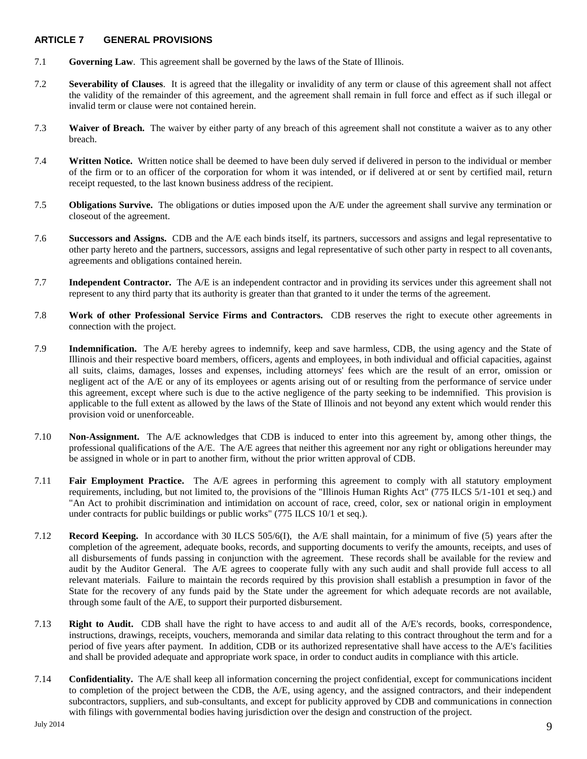#### <span id="page-10-0"></span>**ARTICLE 7 GENERAL PROVISIONS**

- 7.1 **Governing Law**. This agreement shall be governed by the laws of the State of Illinois.
- 7.2 **Severability of Clauses**. It is agreed that the illegality or invalidity of any term or clause of this agreement shall not affect the validity of the remainder of this agreement, and the agreement shall remain in full force and effect as if such illegal or invalid term or clause were not contained herein.
- 7.3 **Waiver of Breach.** The waiver by either party of any breach of this agreement shall not constitute a waiver as to any other breach.
- 7.4 **Written Notice.** Written notice shall be deemed to have been duly served if delivered in person to the individual or member of the firm or to an officer of the corporation for whom it was intended, or if delivered at or sent by certified mail, return receipt requested, to the last known business address of the recipient.
- 7.5 **Obligations Survive.** The obligations or duties imposed upon the A/E under the agreement shall survive any termination or closeout of the agreement.
- 7.6 **Successors and Assigns.** CDB and the A/E each binds itself, its partners, successors and assigns and legal representative to other party hereto and the partners, successors, assigns and legal representative of such other party in respect to all covenants, agreements and obligations contained herein.
- 7.7 **Independent Contractor.** The A/E is an independent contractor and in providing its services under this agreement shall not represent to any third party that its authority is greater than that granted to it under the terms of the agreement.
- 7.8 **Work of other Professional Service Firms and Contractors.** CDB reserves the right to execute other agreements in connection with the project.
- 7.9 **Indemnification.** The A/E hereby agrees to indemnify, keep and save harmless, CDB, the using agency and the State of Illinois and their respective board members, officers, agents and employees, in both individual and official capacities, against all suits, claims, damages, losses and expenses, including attorneys' fees which are the result of an error, omission or negligent act of the A/E or any of its employees or agents arising out of or resulting from the performance of service under this agreement, except where such is due to the active negligence of the party seeking to be indemnified. This provision is applicable to the full extent as allowed by the laws of the State of Illinois and not beyond any extent which would render this provision void or unenforceable.
- 7.10 **Non-Assignment.** The A/E acknowledges that CDB is induced to enter into this agreement by, among other things, the professional qualifications of the A/E. The A/E agrees that neither this agreement nor any right or obligations hereunder may be assigned in whole or in part to another firm, without the prior written approval of CDB.
- 7.11 **Fair Employment Practice.** The A/E agrees in performing this agreement to comply with all statutory employment requirements, including, but not limited to, the provisions of the "Illinois Human Rights Act" (775 ILCS 5/1-101 et seq.) and "An Act to prohibit discrimination and intimidation on account of race, creed, color, sex or national origin in employment under contracts for public buildings or public works" (775 ILCS 10/1 et seq.).
- 7.12 **Record Keeping.** In accordance with 30 ILCS 505/6(I), the A/E shall maintain, for a minimum of five (5) years after the completion of the agreement, adequate books, records, and supporting documents to verify the amounts, receipts, and uses of all disbursements of funds passing in conjunction with the agreement. These records shall be available for the review and audit by the Auditor General. The A/E agrees to cooperate fully with any such audit and shall provide full access to all relevant materials. Failure to maintain the records required by this provision shall establish a presumption in favor of the State for the recovery of any funds paid by the State under the agreement for which adequate records are not available, through some fault of the A/E, to support their purported disbursement.
- 7.13 **Right to Audit.** CDB shall have the right to have access to and audit all of the A/E's records, books, correspondence, instructions, drawings, receipts, vouchers, memoranda and similar data relating to this contract throughout the term and for a period of five years after payment. In addition, CDB or its authorized representative shall have access to the A/E's facilities and shall be provided adequate and appropriate work space, in order to conduct audits in compliance with this article.
- 7.14 **Confidentiality.** The A/E shall keep all information concerning the project confidential, except for communications incident to completion of the project between the CDB, the A/E, using agency, and the assigned contractors, and their independent subcontractors, suppliers, and sub-consultants, and except for publicity approved by CDB and communications in connection with filings with governmental bodies having jurisdiction over the design and construction of the project.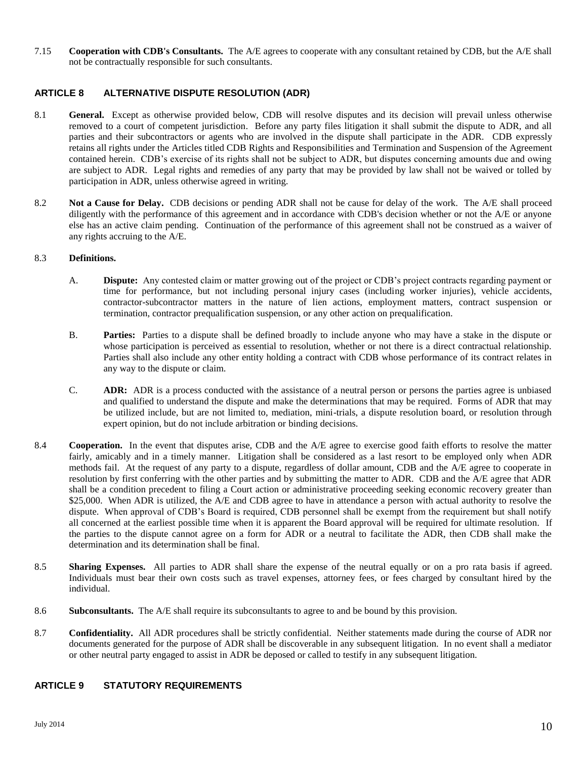7.15 **Cooperation with CDB's Consultants.** The A/E agrees to cooperate with any consultant retained by CDB, but the A/E shall not be contractually responsible for such consultants.

## <span id="page-11-0"></span>**ARTICLE 8 ALTERNATIVE DISPUTE RESOLUTION (ADR)**

- 8.1 **General.** Except as otherwise provided below, CDB will resolve disputes and its decision will prevail unless otherwise removed to a court of competent jurisdiction. Before any party files litigation it shall submit the dispute to ADR, and all parties and their subcontractors or agents who are involved in the dispute shall participate in the ADR. CDB expressly retains all rights under the Articles titled CDB Rights and Responsibilities and Termination and Suspension of the Agreement contained herein. CDB's exercise of its rights shall not be subject to ADR, but disputes concerning amounts due and owing are subject to ADR. Legal rights and remedies of any party that may be provided by law shall not be waived or tolled by participation in ADR, unless otherwise agreed in writing.
- 8.2 **Not a Cause for Delay.** CDB decisions or pending ADR shall not be cause for delay of the work. The A/E shall proceed diligently with the performance of this agreement and in accordance with CDB's decision whether or not the A/E or anyone else has an active claim pending. Continuation of the performance of this agreement shall not be construed as a waiver of any rights accruing to the A/E.

#### 8.3 **Definitions.**

- A. **Dispute:** Any contested claim or matter growing out of the project or CDB's project contracts regarding payment or time for performance, but not including personal injury cases (including worker injuries), vehicle accidents, contractor-subcontractor matters in the nature of lien actions, employment matters, contract suspension or termination, contractor prequalification suspension, or any other action on prequalification.
- B. **Parties:** Parties to a dispute shall be defined broadly to include anyone who may have a stake in the dispute or whose participation is perceived as essential to resolution, whether or not there is a direct contractual relationship. Parties shall also include any other entity holding a contract with CDB whose performance of its contract relates in any way to the dispute or claim.
- C. **ADR:** ADR is a process conducted with the assistance of a neutral person or persons the parties agree is unbiased and qualified to understand the dispute and make the determinations that may be required. Forms of ADR that may be utilized include, but are not limited to, mediation, mini-trials, a dispute resolution board, or resolution through expert opinion, but do not include arbitration or binding decisions.
- 8.4 **Cooperation.** In the event that disputes arise, CDB and the A/E agree to exercise good faith efforts to resolve the matter fairly, amicably and in a timely manner. Litigation shall be considered as a last resort to be employed only when ADR methods fail. At the request of any party to a dispute, regardless of dollar amount, CDB and the A/E agree to cooperate in resolution by first conferring with the other parties and by submitting the matter to ADR. CDB and the A/E agree that ADR shall be a condition precedent to filing a Court action or administrative proceeding seeking economic recovery greater than \$25,000. When ADR is utilized, the A/E and CDB agree to have in attendance a person with actual authority to resolve the dispute. When approval of CDB's Board is required, CDB personnel shall be exempt from the requirement but shall notify all concerned at the earliest possible time when it is apparent the Board approval will be required for ultimate resolution. If the parties to the dispute cannot agree on a form for ADR or a neutral to facilitate the ADR, then CDB shall make the determination and its determination shall be final.
- 8.5 **Sharing Expenses.** All parties to ADR shall share the expense of the neutral equally or on a pro rata basis if agreed. Individuals must bear their own costs such as travel expenses, attorney fees, or fees charged by consultant hired by the individual.
- 8.6 **Subconsultants.** The A/E shall require its subconsultants to agree to and be bound by this provision.
- 8.7 **Confidentiality.** All ADR procedures shall be strictly confidential. Neither statements made during the course of ADR nor documents generated for the purpose of ADR shall be discoverable in any subsequent litigation. In no event shall a mediator or other neutral party engaged to assist in ADR be deposed or called to testify in any subsequent litigation.

#### <span id="page-11-1"></span>**ARTICLE 9 STATUTORY REQUIREMENTS**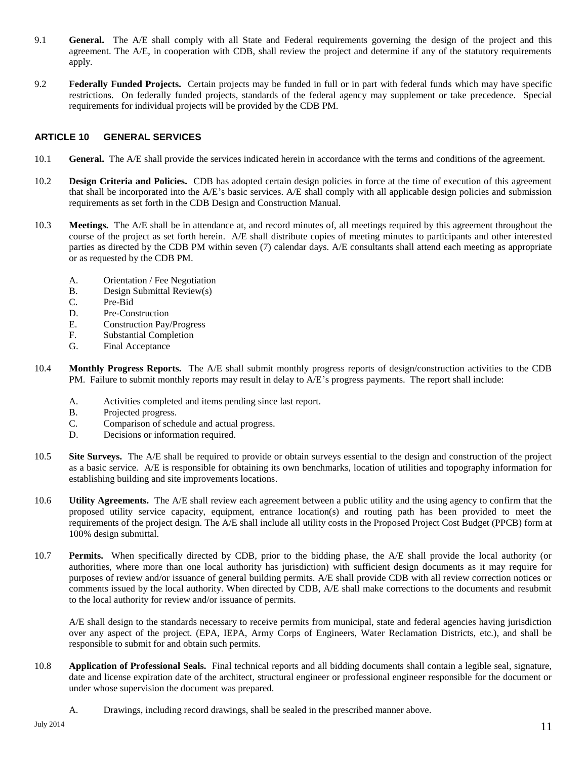- 9.1 **General.** The A/E shall comply with all State and Federal requirements governing the design of the project and this agreement. The A/E, in cooperation with CDB, shall review the project and determine if any of the statutory requirements apply.
- 9.2 **Federally Funded Projects.** Certain projects may be funded in full or in part with federal funds which may have specific restrictions. On federally funded projects, standards of the federal agency may supplement or take precedence. Special requirements for individual projects will be provided by the CDB PM.

## **ARTICLE 10 GENERAL SERVICES**

- 10.1 **General.** The A/E shall provide the services indicated herein in accordance with the terms and conditions of the agreement.
- 10.2 **Design Criteria and Policies.** CDB has adopted certain design policies in force at the time of execution of this agreement that shall be incorporated into the A/E's basic services. A/E shall comply with all applicable design policies and submission requirements as set forth in the CDB Design and Construction Manual.
- 10.3 **Meetings.** The A/E shall be in attendance at, and record minutes of, all meetings required by this agreement throughout the course of the project as set forth herein. A/E shall distribute copies of meeting minutes to participants and other interested parties as directed by the CDB PM within seven (7) calendar days. A/E consultants shall attend each meeting as appropriate or as requested by the CDB PM.
	- A. Orientation / Fee Negotiation
	- B. Design Submittal Review(s)
	- C. Pre-Bid
	- D. Pre-Construction
	- E. Construction Pay/Progress
	- F. Substantial Completion
	- G. Final Acceptance
- 10.4 **Monthly Progress Reports.** The A/E shall submit monthly progress reports of design/construction activities to the CDB PM. Failure to submit monthly reports may result in delay to A/E's progress payments. The report shall include:
	- A. Activities completed and items pending since last report.
	- B. Projected progress.
	- C. Comparison of schedule and actual progress.
	- D. Decisions or information required.
- 10.5 **Site Surveys.** The A/E shall be required to provide or obtain surveys essential to the design and construction of the project as a basic service. A/E is responsible for obtaining its own benchmarks, location of utilities and topography information for establishing building and site improvements locations.
- 10.6 **Utility Agreements.** The A/E shall review each agreement between a public utility and the using agency to confirm that the proposed utility service capacity, equipment, entrance location(s) and routing path has been provided to meet the requirements of the project design. The A/E shall include all utility costs in the Proposed Project Cost Budget (PPCB) form at 100% design submittal.
- 10.7 **Permits.** When specifically directed by CDB, prior to the bidding phase, the A/E shall provide the local authority (or authorities, where more than one local authority has jurisdiction) with sufficient design documents as it may require for purposes of review and/or issuance of general building permits. A/E shall provide CDB with all review correction notices or comments issued by the local authority. When directed by CDB, A/E shall make corrections to the documents and resubmit to the local authority for review and/or issuance of permits.

A/E shall design to the standards necessary to receive permits from municipal, state and federal agencies having jurisdiction over any aspect of the project. (EPA, IEPA, Army Corps of Engineers, Water Reclamation Districts, etc.), and shall be responsible to submit for and obtain such permits.

- 10.8 **Application of Professional Seals.** Final technical reports and all bidding documents shall contain a legible seal, signature, date and license expiration date of the architect, structural engineer or professional engineer responsible for the document or under whose supervision the document was prepared.
	- A. Drawings, including record drawings, shall be sealed in the prescribed manner above.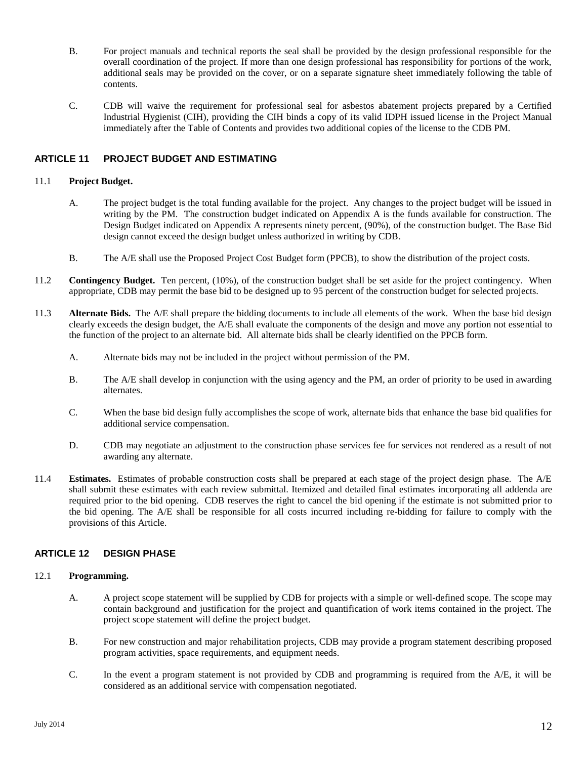- B. For project manuals and technical reports the seal shall be provided by the design professional responsible for the overall coordination of the project. If more than one design professional has responsibility for portions of the work, additional seals may be provided on the cover, or on a separate signature sheet immediately following the table of contents.
- <span id="page-13-0"></span>C. CDB will waive the requirement for professional seal for asbestos abatement projects prepared by a Certified Industrial Hygienist (CIH), providing the CIH binds a copy of its valid IDPH issued license in the Project Manual immediately after the Table of Contents and provides two additional copies of the license to the CDB PM.

## **ARTICLE 11 PROJECT BUDGET AND ESTIMATING**

#### 11.1 **Project Budget.**

- A. The project budget is the total funding available for the project. Any changes to the project budget will be issued in writing by the PM. The construction budget indicated on Appendix A is the funds available for construction. The Design Budget indicated on Appendix A represents ninety percent, (90%), of the construction budget. The Base Bid design cannot exceed the design budget unless authorized in writing by CDB.
- B. The A/E shall use the Proposed Project Cost Budget form (PPCB), to show the distribution of the project costs.
- 11.2 **Contingency Budget.** Ten percent, (10%), of the construction budget shall be set aside for the project contingency. When appropriate, CDB may permit the base bid to be designed up to 95 percent of the construction budget for selected projects.
- 11.3 **Alternate Bids.** The A/E shall prepare the bidding documents to include all elements of the work. When the base bid design clearly exceeds the design budget, the A/E shall evaluate the components of the design and move any portion not essential to the function of the project to an alternate bid. All alternate bids shall be clearly identified on the PPCB form.
	- A. Alternate bids may not be included in the project without permission of the PM.
	- B. The A/E shall develop in conjunction with the using agency and the PM, an order of priority to be used in awarding alternates.
	- C. When the base bid design fully accomplishes the scope of work, alternate bids that enhance the base bid qualifies for additional service compensation.
	- D. CDB may negotiate an adjustment to the construction phase services fee for services not rendered as a result of not awarding any alternate.
- 11.4 **Estimates.** Estimates of probable construction costs shall be prepared at each stage of the project design phase. The A/E shall submit these estimates with each review submittal. Itemized and detailed final estimates incorporating all addenda are required prior to the bid opening. CDB reserves the right to cancel the bid opening if the estimate is not submitted prior to the bid opening. The A/E shall be responsible for all costs incurred including re-bidding for failure to comply with the provisions of this Article.

#### **ARTICLE 12 DESIGN PHASE**

#### 12.1 **Programming.**

- <span id="page-13-1"></span>A. A project scope statement will be supplied by CDB for projects with a simple or well-defined scope. The scope may contain background and justification for the project and quantification of work items contained in the project. The project scope statement will define the project budget.
- B. For new construction and major rehabilitation projects, CDB may provide a program statement describing proposed program activities, space requirements, and equipment needs.
- C. In the event a program statement is not provided by CDB and programming is required from the A/E, it will be considered as an additional service with compensation negotiated.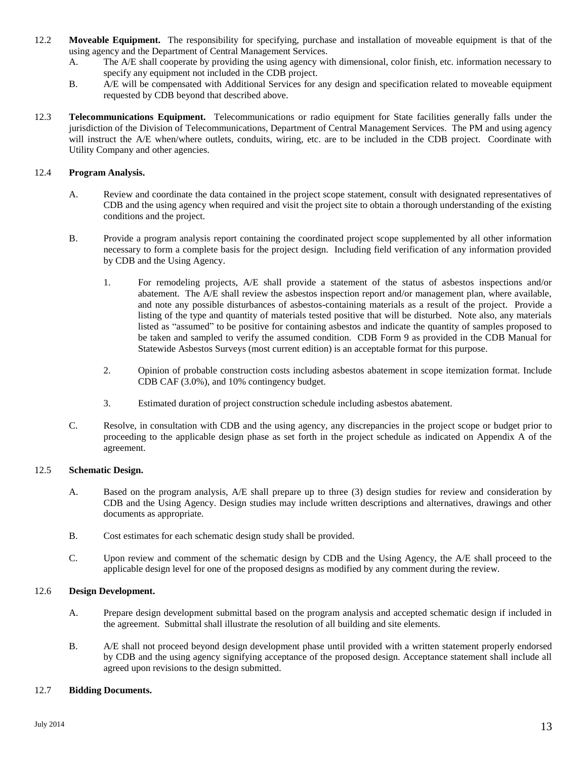- 12.2 **Moveable Equipment.** The responsibility for specifying, purchase and installation of moveable equipment is that of the using agency and the Department of Central Management Services.
	- A. The A/E shall cooperate by providing the using agency with dimensional, color finish, etc. information necessary to specify any equipment not included in the CDB project.
	- B. A/E will be compensated with Additional Services for any design and specification related to moveable equipment requested by CDB beyond that described above.
- 12.3 **Telecommunications Equipment.** Telecommunications or radio equipment for State facilities generally falls under the jurisdiction of the Division of Telecommunications, Department of Central Management Services. The PM and using agency will instruct the A/E when/where outlets, conduits, wiring, etc. are to be included in the CDB project. Coordinate with Utility Company and other agencies.

#### 12.4 **Program Analysis.**

- A. Review and coordinate the data contained in the project scope statement, consult with designated representatives of CDB and the using agency when required and visit the project site to obtain a thorough understanding of the existing conditions and the project.
- B. Provide a program analysis report containing the coordinated project scope supplemented by all other information necessary to form a complete basis for the project design. Including field verification of any information provided by CDB and the Using Agency.
	- 1. For remodeling projects, A/E shall provide a statement of the status of asbestos inspections and/or abatement. The A/E shall review the asbestos inspection report and/or management plan, where available, and note any possible disturbances of asbestos-containing materials as a result of the project. Provide a listing of the type and quantity of materials tested positive that will be disturbed. Note also, any materials listed as "assumed" to be positive for containing asbestos and indicate the quantity of samples proposed to be taken and sampled to verify the assumed condition. CDB Form 9 as provided in the CDB Manual for Statewide Asbestos Surveys (most current edition) is an acceptable format for this purpose.
	- 2. Opinion of probable construction costs including asbestos abatement in scope itemization format. Include CDB CAF (3.0%), and 10% contingency budget.
	- 3. Estimated duration of project construction schedule including asbestos abatement.
- C. Resolve, in consultation with CDB and the using agency, any discrepancies in the project scope or budget prior to proceeding to the applicable design phase as set forth in the project schedule as indicated on Appendix A of the agreement.

#### 12.5 **Schematic Design.**

- A. Based on the program analysis, A/E shall prepare up to three (3) design studies for review and consideration by CDB and the Using Agency. Design studies may include written descriptions and alternatives, drawings and other documents as appropriate.
- B. Cost estimates for each schematic design study shall be provided.
- C. Upon review and comment of the schematic design by CDB and the Using Agency, the A/E shall proceed to the applicable design level for one of the proposed designs as modified by any comment during the review.

#### 12.6 **Design Development.**

- A. Prepare design development submittal based on the program analysis and accepted schematic design if included in the agreement. Submittal shall illustrate the resolution of all building and site elements.
- B. A/E shall not proceed beyond design development phase until provided with a written statement properly endorsed by CDB and the using agency signifying acceptance of the proposed design. Acceptance statement shall include all agreed upon revisions to the design submitted.

#### 12.7 **Bidding Documents.**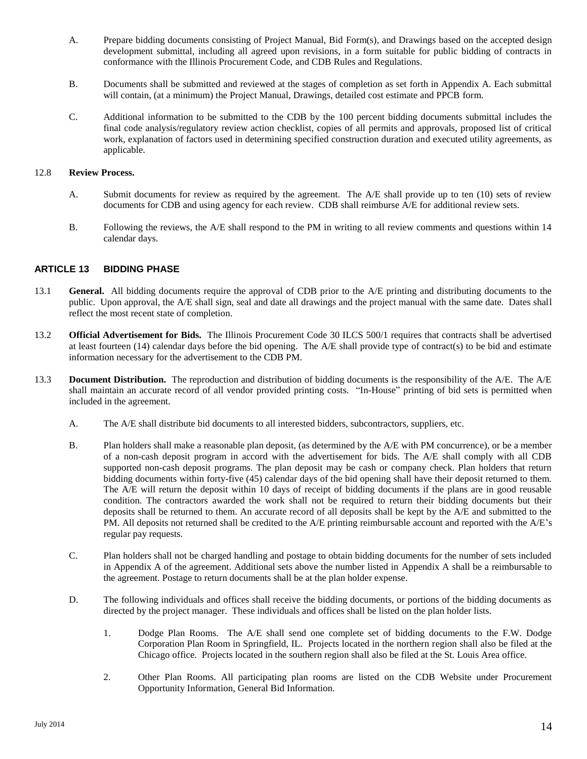- A. Prepare bidding documents consisting of Project Manual, Bid Form(s), and Drawings based on the accepted design development submittal, including all agreed upon revisions, in a form suitable for public bidding of contracts in conformance with the Illinois Procurement Code, and CDB Rules and Regulations.
- B. Documents shall be submitted and reviewed at the stages of completion as set forth in Appendix A. Each submittal will contain, (at a minimum) the Project Manual, Drawings, detailed cost estimate and PPCB form.
- C. Additional information to be submitted to the CDB by the 100 percent bidding documents submittal includes the final code analysis/regulatory review action checklist, copies of all permits and approvals, proposed list of critical work, explanation of factors used in determining specified construction duration and executed utility agreements, as applicable.

#### 12.8 **Review Process.**

- A. Submit documents for review as required by the agreement. The A/E shall provide up to ten (10) sets of review documents for CDB and using agency for each review. CDB shall reimburse A/E for additional review sets.
- <span id="page-15-0"></span>B. Following the reviews, the A/E shall respond to the PM in writing to all review comments and questions within 14 calendar days.

## **ARTICLE 13 BIDDING PHASE**

- 13.1 **General.** All bidding documents require the approval of CDB prior to the A/E printing and distributing documents to the public. Upon approval, the A/E shall sign, seal and date all drawings and the project manual with the same date. Dates shall reflect the most recent state of completion.
- 13.2 **Official Advertisement for Bids.** The Illinois Procurement Code 30 ILCS 500/1 requires that contracts shall be advertised at least fourteen (14) calendar days before the bid opening. The  $A/E$  shall provide type of contract(s) to be bid and estimate information necessary for the advertisement to the CDB PM.
- 13.3 **Document Distribution.** The reproduction and distribution of bidding documents is the responsibility of the A/E. The A/E shall maintain an accurate record of all vendor provided printing costs. "In-House" printing of bid sets is permitted when included in the agreement.
	- A. The A/E shall distribute bid documents to all interested bidders, subcontractors, suppliers, etc.
	- B. Plan holders shall make a reasonable plan deposit, (as determined by the A/E with PM concurrence), or be a member of a non-cash deposit program in accord with the advertisement for bids. The A/E shall comply with all CDB supported non-cash deposit programs. The plan deposit may be cash or company check. Plan holders that return bidding documents within forty-five (45) calendar days of the bid opening shall have their deposit returned to them. The A/E will return the deposit within 10 days of receipt of bidding documents if the plans are in good reusable condition. The contractors awarded the work shall not be required to return their bidding documents but their deposits shall be returned to them. An accurate record of all deposits shall be kept by the A/E and submitted to the PM. All deposits not returned shall be credited to the A/E printing reimbursable account and reported with the A/E's regular pay requests.
	- C. Plan holders shall not be charged handling and postage to obtain bidding documents for the number of sets included in Appendix A of the agreement. Additional sets above the number listed in Appendix A shall be a reimbursable to the agreement. Postage to return documents shall be at the plan holder expense.
	- D. The following individuals and offices shall receive the bidding documents, or portions of the bidding documents as directed by the project manager. These individuals and offices shall be listed on the plan holder lists.
		- 1. Dodge Plan Rooms. The A/E shall send one complete set of bidding documents to the F.W. Dodge Corporation Plan Room in Springfield, IL. Projects located in the northern region shall also be filed at the Chicago office. Projects located in the southern region shall also be filed at the St. Louis Area office.
		- 2. Other Plan Rooms. All participating plan rooms are listed on the CDB Website under Procurement Opportunity Information, General Bid Information.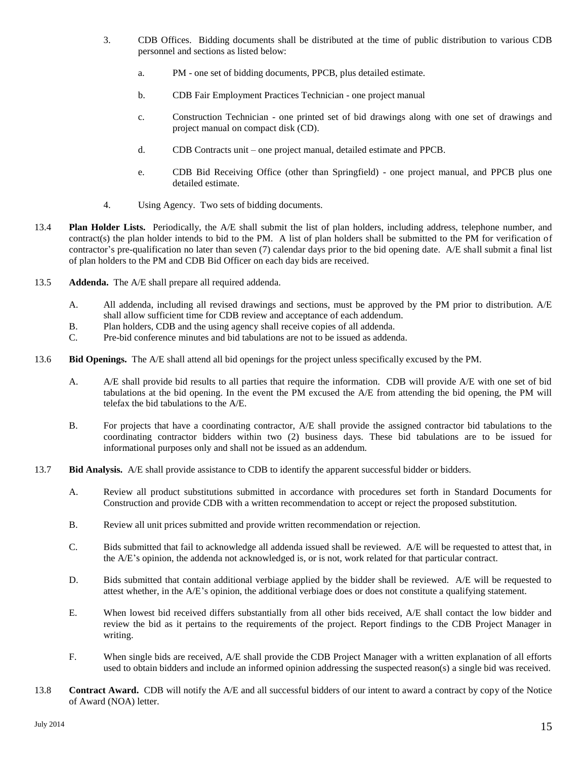- 3. CDB Offices. Bidding documents shall be distributed at the time of public distribution to various CDB personnel and sections as listed below:
	- a. PM one set of bidding documents, PPCB, plus detailed estimate.
	- b. CDB Fair Employment Practices Technician one project manual
	- c. Construction Technician one printed set of bid drawings along with one set of drawings and project manual on compact disk (CD).
	- d. CDB Contracts unit one project manual, detailed estimate and PPCB.
	- e. CDB Bid Receiving Office (other than Springfield) one project manual, and PPCB plus one detailed estimate.
- 4. Using Agency. Two sets of bidding documents.
- 13.4 **Plan Holder Lists.** Periodically, the A/E shall submit the list of plan holders, including address, telephone number, and  $contract(s)$  the plan holder intends to bid to the PM. A list of plan holders shall be submitted to the PM for verification of contractor's pre-qualification no later than seven (7) calendar days prior to the bid opening date. A/E shall submit a final list of plan holders to the PM and CDB Bid Officer on each day bids are received.
- 13.5 **Addenda.** The A/E shall prepare all required addenda.
	- A. All addenda, including all revised drawings and sections, must be approved by the PM prior to distribution. A/E shall allow sufficient time for CDB review and acceptance of each addendum.
	- B. Plan holders, CDB and the using agency shall receive copies of all addenda.
	- C. Pre-bid conference minutes and bid tabulations are not to be issued as addenda.
- 13.6 **Bid Openings.** The A/E shall attend all bid openings for the project unless specifically excused by the PM.
	- A. A/E shall provide bid results to all parties that require the information. CDB will provide A/E with one set of bid tabulations at the bid opening. In the event the PM excused the A/E from attending the bid opening, the PM will telefax the bid tabulations to the A/E.
	- B. For projects that have a coordinating contractor, A/E shall provide the assigned contractor bid tabulations to the coordinating contractor bidders within two (2) business days. These bid tabulations are to be issued for informational purposes only and shall not be issued as an addendum.
- 13.7 **Bid Analysis.** A/E shall provide assistance to CDB to identify the apparent successful bidder or bidders.
	- A. Review all product substitutions submitted in accordance with procedures set forth in Standard Documents for Construction and provide CDB with a written recommendation to accept or reject the proposed substitution.
	- B. Review all unit prices submitted and provide written recommendation or rejection.
	- C. Bids submitted that fail to acknowledge all addenda issued shall be reviewed. A/E will be requested to attest that, in the A/E's opinion, the addenda not acknowledged is, or is not, work related for that particular contract.
	- D. Bids submitted that contain additional verbiage applied by the bidder shall be reviewed. A/E will be requested to attest whether, in the A/E's opinion, the additional verbiage does or does not constitute a qualifying statement.
	- E. When lowest bid received differs substantially from all other bids received, A/E shall contact the low bidder and review the bid as it pertains to the requirements of the project. Report findings to the CDB Project Manager in writing.
	- F. When single bids are received, A/E shall provide the CDB Project Manager with a written explanation of all efforts used to obtain bidders and include an informed opinion addressing the suspected reason(s) a single bid was received.
- 13.8 **Contract Award.** CDB will notify the A/E and all successful bidders of our intent to award a contract by copy of the Notice of Award (NOA) letter.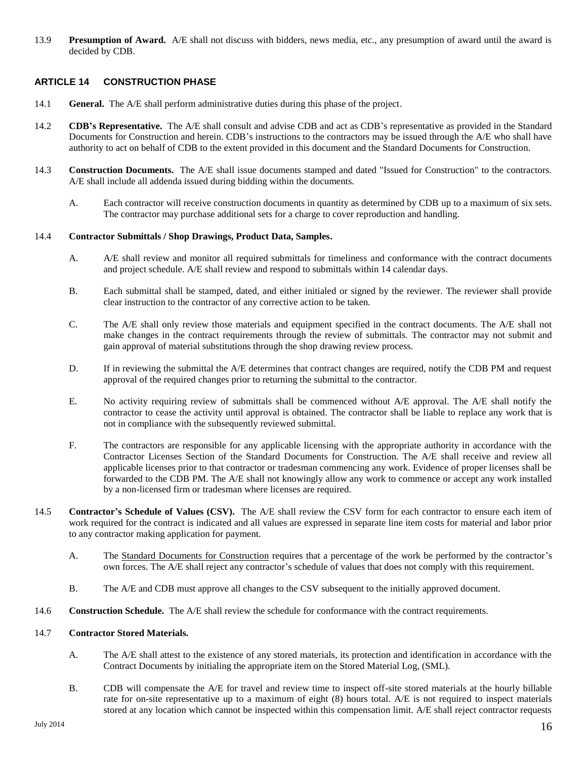13.9 **Presumption of Award.** A/E shall not discuss with bidders, news media, etc., any presumption of award until the award is decided by CDB.

## <span id="page-17-0"></span>**ARTICLE 14 CONSTRUCTION PHASE**

- 14.1 **General.** The A/E shall perform administrative duties during this phase of the project.
- 14.2 **CDB's Representative.** The A/E shall consult and advise CDB and act as CDB's representative as provided in the Standard Documents for Construction and herein. CDB's instructions to the contractors may be issued through the A/E who shall have authority to act on behalf of CDB to the extent provided in this document and the Standard Documents for Construction.
- 14.3 **Construction Documents.**The A/E shall issue documents stamped and dated "Issued for Construction" to the contractors. A/E shall include all addenda issued during bidding within the documents.
	- A. Each contractor will receive construction documents in quantity as determined by CDB up to a maximum of six sets. The contractor may purchase additional sets for a charge to cover reproduction and handling.

#### 14.4 **Contractor Submittals / Shop Drawings, Product Data, Samples.**

- A. A/E shall review and monitor all required submittals for timeliness and conformance with the contract documents and project schedule. A/E shall review and respond to submittals within 14 calendar days.
- B. Each submittal shall be stamped, dated, and either initialed or signed by the reviewer. The reviewer shall provide clear instruction to the contractor of any corrective action to be taken.
- C. The A/E shall only review those materials and equipment specified in the contract documents. The A/E shall not make changes in the contract requirements through the review of submittals. The contractor may not submit and gain approval of material substitutions through the shop drawing review process.
- D. If in reviewing the submittal the A/E determines that contract changes are required, notify the CDB PM and request approval of the required changes prior to returning the submittal to the contractor.
- E. No activity requiring review of submittals shall be commenced without A/E approval. The A/E shall notify the contractor to cease the activity until approval is obtained. The contractor shall be liable to replace any work that is not in compliance with the subsequently reviewed submittal.
- F. The contractors are responsible for any applicable licensing with the appropriate authority in accordance with the Contractor Licenses Section of the Standard Documents for Construction. The A/E shall receive and review all applicable licenses prior to that contractor or tradesman commencing any work. Evidence of proper licenses shall be forwarded to the CDB PM. The A/E shall not knowingly allow any work to commence or accept any work installed by a non-licensed firm or tradesman where licenses are required.
- 14.5 **Contractor's Schedule of Values (CSV).** The A/E shall review the CSV form for each contractor to ensure each item of work required for the contract is indicated and all values are expressed in separate line item costs for material and labor prior to any contractor making application for payment.
	- A. The Standard Documents for Construction requires that a percentage of the work be performed by the contractor's own forces. The A/E shall reject any contractor's schedule of values that does not comply with this requirement.
	- B. The A/E and CDB must approve all changes to the CSV subsequent to the initially approved document.
- 14.6 **Construction Schedule.** The A/E shall review the schedule for conformance with the contract requirements.

#### 14.7 **Contractor Stored Materials.**

- A. The A/E shall attest to the existence of any stored materials, its protection and identification in accordance with the Contract Documents by initialing the appropriate item on the Stored Material Log, (SML).
- B. CDB will compensate the A/E for travel and review time to inspect off-site stored materials at the hourly billable rate for on-site representative up to a maximum of eight (8) hours total. A/E is not required to inspect materials stored at any location which cannot be inspected within this compensation limit. A/E shall reject contractor requests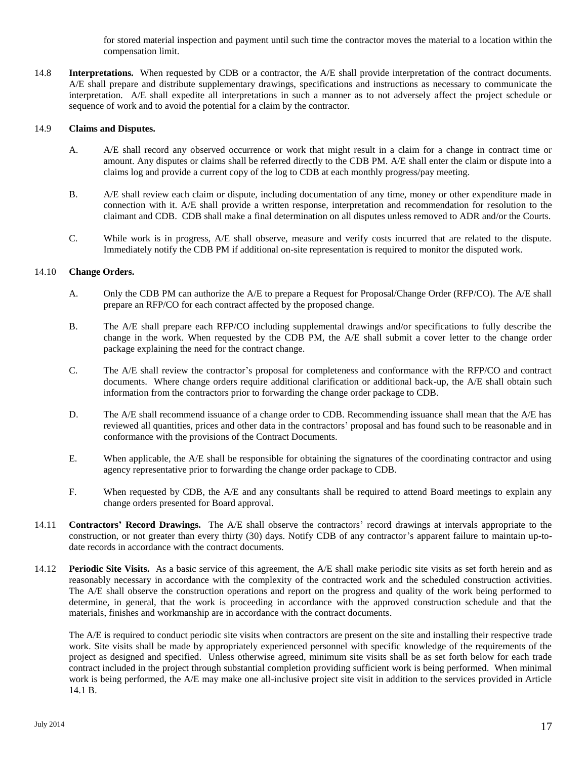for stored material inspection and payment until such time the contractor moves the material to a location within the compensation limit.

14.8 **Interpretations.** When requested by CDB or a contractor, the A/E shall provide interpretation of the contract documents. A/E shall prepare and distribute supplementary drawings, specifications and instructions as necessary to communicate the interpretation. A/E shall expedite all interpretations in such a manner as to not adversely affect the project schedule or sequence of work and to avoid the potential for a claim by the contractor.

#### 14.9 **Claims and Disputes.**

- A. A/E shall record any observed occurrence or work that might result in a claim for a change in contract time or amount. Any disputes or claims shall be referred directly to the CDB PM. A/E shall enter the claim or dispute into a claims log and provide a current copy of the log to CDB at each monthly progress/pay meeting.
- B. A/E shall review each claim or dispute, including documentation of any time, money or other expenditure made in connection with it. A/E shall provide a written response, interpretation and recommendation for resolution to the claimant and CDB. CDB shall make a final determination on all disputes unless removed to ADR and/or the Courts.
- C. While work is in progress, A/E shall observe, measure and verify costs incurred that are related to the dispute. Immediately notify the CDB PM if additional on-site representation is required to monitor the disputed work.

## 14.10 **Change Orders.**

- A. Only the CDB PM can authorize the A/E to prepare a Request for Proposal/Change Order (RFP/CO). The A/E shall prepare an RFP/CO for each contract affected by the proposed change.
- B. The A/E shall prepare each RFP/CO including supplemental drawings and/or specifications to fully describe the change in the work. When requested by the CDB PM, the A/E shall submit a cover letter to the change order package explaining the need for the contract change.
- C. The A/E shall review the contractor's proposal for completeness and conformance with the RFP/CO and contract documents. Where change orders require additional clarification or additional back-up, the A/E shall obtain such information from the contractors prior to forwarding the change order package to CDB.
- D. The A/E shall recommend issuance of a change order to CDB. Recommending issuance shall mean that the A/E has reviewed all quantities, prices and other data in the contractors' proposal and has found such to be reasonable and in conformance with the provisions of the Contract Documents.
- E. When applicable, the A/E shall be responsible for obtaining the signatures of the coordinating contractor and using agency representative prior to forwarding the change order package to CDB.
- F. When requested by CDB, the A/E and any consultants shall be required to attend Board meetings to explain any change orders presented for Board approval.
- 14.11 **Contractors' Record Drawings.** The A/E shall observe the contractors' record drawings at intervals appropriate to the construction, or not greater than every thirty (30) days. Notify CDB of any contractor's apparent failure to maintain up-todate records in accordance with the contract documents.
- 14.12 **Periodic Site Visits.** As a basic service of this agreement, the A/E shall make periodic site visits as set forth herein and as reasonably necessary in accordance with the complexity of the contracted work and the scheduled construction activities. The A/E shall observe the construction operations and report on the progress and quality of the work being performed to determine, in general, that the work is proceeding in accordance with the approved construction schedule and that the materials, finishes and workmanship are in accordance with the contract documents.

The A/E is required to conduct periodic site visits when contractors are present on the site and installing their respective trade work. Site visits shall be made by appropriately experienced personnel with specific knowledge of the requirements of the project as designed and specified. Unless otherwise agreed, minimum site visits shall be as set forth below for each trade contract included in the project through substantial completion providing sufficient work is being performed. When minimal work is being performed, the A/E may make one all-inclusive project site visit in addition to the services provided in Article 14.1 B.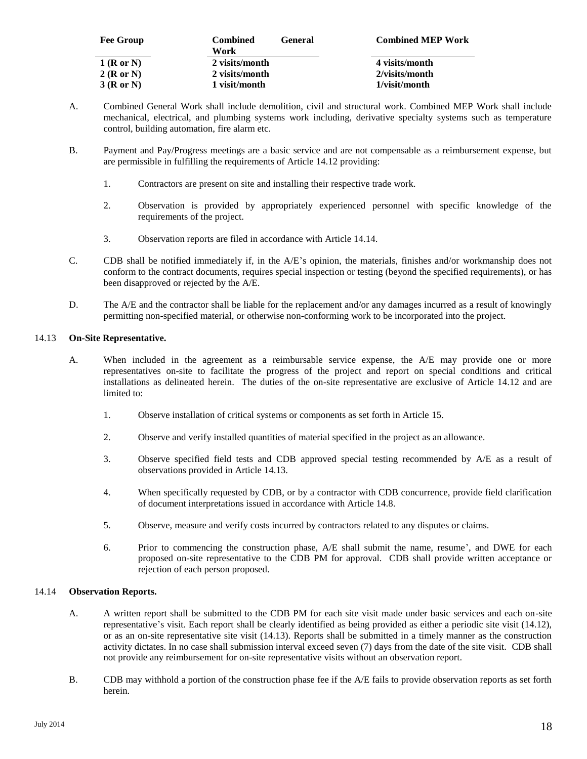| <b>Fee Group</b> | <b>Combined</b><br><b>General</b><br>Work | <b>Combined MEP Work</b> |
|------------------|-------------------------------------------|--------------------------|
| $1$ (R or N)     | 2 visits/month                            | 4 visits/month           |
| 2(RorN)          | 2 visits/month                            | 2/visits/month           |
| 3(RorN)          | 1 visit/month                             | 1/visit/month            |

- A. Combined General Work shall include demolition, civil and structural work. Combined MEP Work shall include mechanical, electrical, and plumbing systems work including, derivative specialty systems such as temperature control, building automation, fire alarm etc.
- B. Payment and Pay/Progress meetings are a basic service and are not compensable as a reimbursement expense, but are permissible in fulfilling the requirements of Article 14.12 providing:
	- 1. Contractors are present on site and installing their respective trade work.
	- 2. Observation is provided by appropriately experienced personnel with specific knowledge of the requirements of the project.
	- 3. Observation reports are filed in accordance with Article 14.14.
- C. CDB shall be notified immediately if, in the A/E's opinion, the materials, finishes and/or workmanship does not conform to the contract documents, requires special inspection or testing (beyond the specified requirements), or has been disapproved or rejected by the A/E.
- D. The A/E and the contractor shall be liable for the replacement and/or any damages incurred as a result of knowingly permitting non-specified material, or otherwise non-conforming work to be incorporated into the project.

#### 14.13 **On-Site Representative.**

- A. When included in the agreement as a reimbursable service expense, the A/E may provide one or more representatives on-site to facilitate the progress of the project and report on special conditions and critical installations as delineated herein. The duties of the on-site representative are exclusive of Article 14.12 and are limited to:
	- 1. Observe installation of critical systems or components as set forth in Article 15.
	- 2. Observe and verify installed quantities of material specified in the project as an allowance.
	- 3. Observe specified field tests and CDB approved special testing recommended by A/E as a result of observations provided in Article 14.13.
	- 4. When specifically requested by CDB, or by a contractor with CDB concurrence, provide field clarification of document interpretations issued in accordance with Article 14.8.
	- 5. Observe, measure and verify costs incurred by contractors related to any disputes or claims.
	- 6. Prior to commencing the construction phase, A/E shall submit the name, resume', and DWE for each proposed on-site representative to the CDB PM for approval. CDB shall provide written acceptance or rejection of each person proposed.

#### 14.14 **Observation Reports.**

- A. A written report shall be submitted to the CDB PM for each site visit made under basic services and each on-site representative's visit. Each report shall be clearly identified as being provided as either a periodic site visit (14.12), or as an on-site representative site visit (14.13). Reports shall be submitted in a timely manner as the construction activity dictates. In no case shall submission interval exceed seven (7) days from the date of the site visit. CDB shall not provide any reimbursement for on-site representative visits without an observation report.
- B. CDB may withhold a portion of the construction phase fee if the A/E fails to provide observation reports as set forth herein.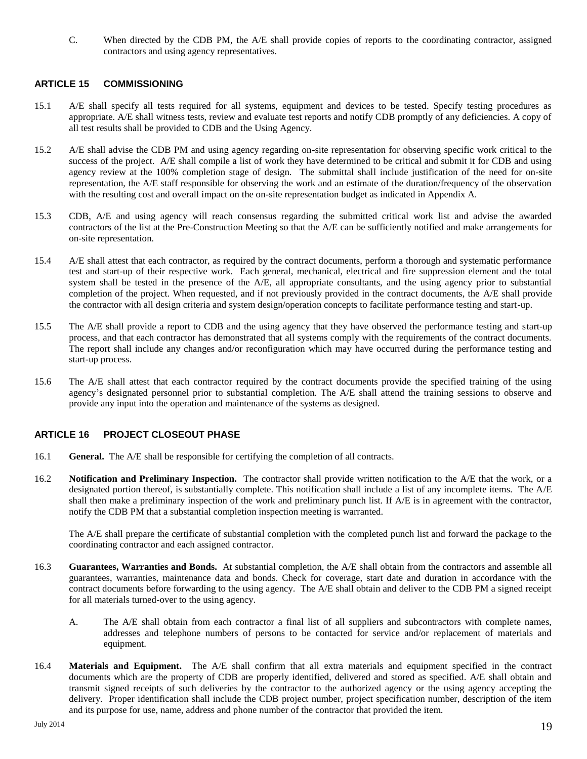<span id="page-20-0"></span>C. When directed by the CDB PM, the A/E shall provide copies of reports to the coordinating contractor, assigned contractors and using agency representatives.

#### **ARTICLE 15 COMMISSIONING**

- 15.1 A/E shall specify all tests required for all systems, equipment and devices to be tested. Specify testing procedures as appropriate. A/E shall witness tests, review and evaluate test reports and notify CDB promptly of any deficiencies. A copy of all test results shall be provided to CDB and the Using Agency.
- 15.2 A/E shall advise the CDB PM and using agency regarding on-site representation for observing specific work critical to the success of the project. A/E shall compile a list of work they have determined to be critical and submit it for CDB and using agency review at the 100% completion stage of design. The submittal shall include justification of the need for on-site representation, the A/E staff responsible for observing the work and an estimate of the duration/frequency of the observation with the resulting cost and overall impact on the on-site representation budget as indicated in Appendix A.
- 15.3 CDB, A/E and using agency will reach consensus regarding the submitted critical work list and advise the awarded contractors of the list at the Pre-Construction Meeting so that the A/E can be sufficiently notified and make arrangements for on-site representation.
- 15.4 A/E shall attest that each contractor, as required by the contract documents, perform a thorough and systematic performance test and start-up of their respective work. Each general, mechanical, electrical and fire suppression element and the total system shall be tested in the presence of the A/E, all appropriate consultants, and the using agency prior to substantial completion of the project. When requested, and if not previously provided in the contract documents, the A/E shall provide the contractor with all design criteria and system design/operation concepts to facilitate performance testing and start-up.
- 15.5 The A/E shall provide a report to CDB and the using agency that they have observed the performance testing and start-up process, and that each contractor has demonstrated that all systems comply with the requirements of the contract documents. The report shall include any changes and/or reconfiguration which may have occurred during the performance testing and start-up process.
- 15.6 The A/E shall attest that each contractor required by the contract documents provide the specified training of the using agency's designated personnel prior to substantial completion. The A/E shall attend the training sessions to observe and provide any input into the operation and maintenance of the systems as designed.

## **ARTICLE 16 PROJECT CLOSEOUT PHASE**

- 16.1 **General.** The A/E shall be responsible for certifying the completion of all contracts.
- 16.2 **Notification and Preliminary Inspection.** The contractor shall provide written notification to the A/E that the work, or a designated portion thereof, is substantially complete. This notification shall include a list of any incomplete items. The A/E shall then make a preliminary inspection of the work and preliminary punch list. If A/E is in agreement with the contractor, notify the CDB PM that a substantial completion inspection meeting is warranted.

<span id="page-20-1"></span>The A/E shall prepare the certificate of substantial completion with the completed punch list and forward the package to the coordinating contractor and each assigned contractor.

- 16.3 **Guarantees, Warranties and Bonds.** At substantial completion, the A/E shall obtain from the contractors and assemble all guarantees, warranties, maintenance data and bonds. Check for coverage, start date and duration in accordance with the contract documents before forwarding to the using agency. The A/E shall obtain and deliver to the CDB PM a signed receipt for all materials turned-over to the using agency.
	- A. The A/E shall obtain from each contractor a final list of all suppliers and subcontractors with complete names, addresses and telephone numbers of persons to be contacted for service and/or replacement of materials and equipment.
- 16.4 **Materials and Equipment.** The A/E shall confirm that all extra materials and equipment specified in the contract documents which are the property of CDB are properly identified, delivered and stored as specified. A/E shall obtain and transmit signed receipts of such deliveries by the contractor to the authorized agency or the using agency accepting the delivery. Proper identification shall include the CDB project number, project specification number, description of the item and its purpose for use, name, address and phone number of the contractor that provided the item.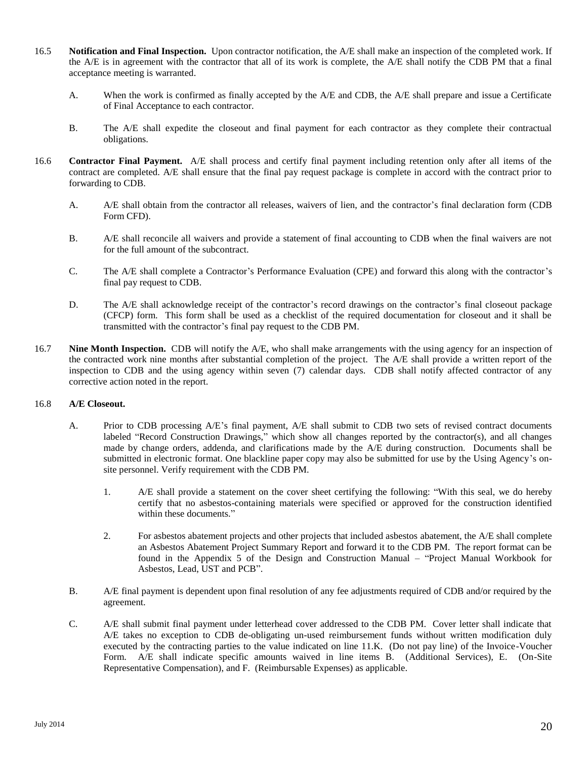- 16.5 **Notification and Final Inspection.** Upon contractor notification, the A/E shall make an inspection of the completed work. If the A/E is in agreement with the contractor that all of its work is complete, the A/E shall notify the CDB PM that a final acceptance meeting is warranted.
	- A. When the work is confirmed as finally accepted by the A/E and CDB, the A/E shall prepare and issue a Certificate of Final Acceptance to each contractor.
	- B. The A/E shall expedite the closeout and final payment for each contractor as they complete their contractual obligations.
- 16.6 **Contractor Final Payment.** A/E shall process and certify final payment including retention only after all items of the contract are completed. A/E shall ensure that the final pay request package is complete in accord with the contract prior to forwarding to CDB.
	- A. A/E shall obtain from the contractor all releases, waivers of lien, and the contractor's final declaration form (CDB Form CFD).
	- B. A/E shall reconcile all waivers and provide a statement of final accounting to CDB when the final waivers are not for the full amount of the subcontract.
	- C. The A/E shall complete a Contractor's Performance Evaluation (CPE) and forward this along with the contractor's final pay request to CDB.
	- D. The A/E shall acknowledge receipt of the contractor's record drawings on the contractor's final closeout package (CFCP) form. This form shall be used as a checklist of the required documentation for closeout and it shall be transmitted with the contractor's final pay request to the CDB PM.
- 16.7 **Nine Month Inspection.** CDB will notify the A/E, who shall make arrangements with the using agency for an inspection of the contracted work nine months after substantial completion of the project. The A/E shall provide a written report of the inspection to CDB and the using agency within seven (7) calendar days. CDB shall notify affected contractor of any corrective action noted in the report.

#### 16.8 **A/E Closeout.**

- A. Prior to CDB processing A/E's final payment, A/E shall submit to CDB two sets of revised contract documents labeled "Record Construction Drawings," which show all changes reported by the contractor(s), and all changes made by change orders, addenda, and clarifications made by the A/E during construction. Documents shall be submitted in electronic format. One blackline paper copy may also be submitted for use by the Using Agency's onsite personnel. Verify requirement with the CDB PM.
	- 1. A/E shall provide a statement on the cover sheet certifying the following: "With this seal, we do hereby certify that no asbestos-containing materials were specified or approved for the construction identified within these documents."
	- 2. For asbestos abatement projects and other projects that included asbestos abatement, the A/E shall complete an Asbestos Abatement Project Summary Report and forward it to the CDB PM. The report format can be found in the Appendix 5 of the Design and Construction Manual – "Project Manual Workbook for Asbestos, Lead, UST and PCB".
- B. A/E final payment is dependent upon final resolution of any fee adjustments required of CDB and/or required by the agreement.
- C. A/E shall submit final payment under letterhead cover addressed to the CDB PM. Cover letter shall indicate that A/E takes no exception to CDB de-obligating un-used reimbursement funds without written modification duly executed by the contracting parties to the value indicated on line 11.K. (Do not pay line) of the Invoice-Voucher Form. A/E shall indicate specific amounts waived in line items B. (Additional Services), E. (On-Site Representative Compensation), and F. (Reimbursable Expenses) as applicable.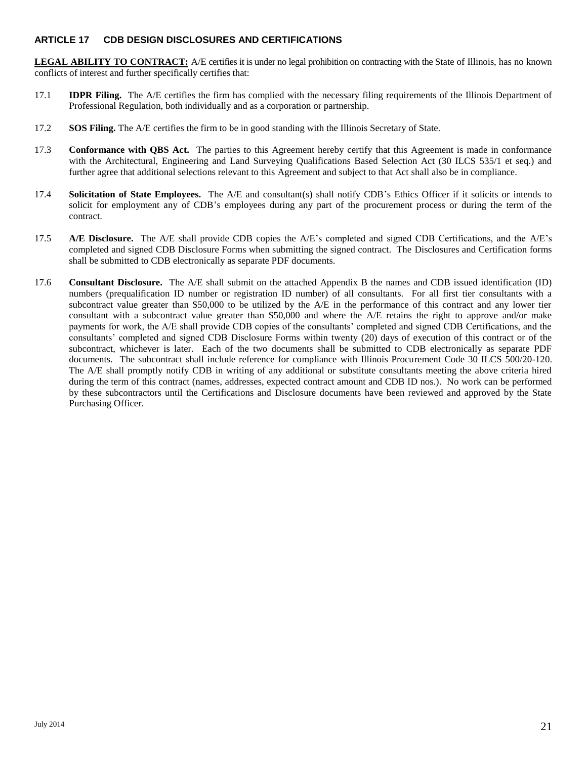## <span id="page-22-0"></span>**ARTICLE 17 CDB DESIGN DISCLOSURES AND CERTIFICATIONS**

**LEGAL ABILITY TO CONTRACT:** A/E certifies it is under no legal prohibition on contracting with the State of Illinois, has no known conflicts of interest and further specifically certifies that:

- 17.1 **IDPR Filing.** The A/E certifies the firm has complied with the necessary filing requirements of the Illinois Department of Professional Regulation, both individually and as a corporation or partnership.
- 17.2 **SOS Filing.** The A/E certifies the firm to be in good standing with the Illinois Secretary of State.
- 17.3 **Conformance with QBS Act.** The parties to this Agreement hereby certify that this Agreement is made in conformance with the Architectural, Engineering and Land Surveying Qualifications Based Selection Act (30 ILCS 535/1 et seq.) and further agree that additional selections relevant to this Agreement and subject to that Act shall also be in compliance.
- 17.4 **Solicitation of State Employees.** The A/E and consultant(s) shall notify CDB's Ethics Officer if it solicits or intends to solicit for employment any of CDB's employees during any part of the procurement process or during the term of the contract.
- 17.5 **A/E Disclosure.** The A/E shall provide CDB copies the A/E's completed and signed CDB Certifications, and the A/E's completed and signed CDB Disclosure Forms when submitting the signed contract. The Disclosures and Certification forms shall be submitted to CDB electronically as separate PDF documents.
- 17.6 **Consultant Disclosure.** The A/E shall submit on the attached Appendix B the names and CDB issued identification (ID) numbers (prequalification ID number or registration ID number) of all consultants. For all first tier consultants with a subcontract value greater than \$50,000 to be utilized by the A/E in the performance of this contract and any lower tier consultant with a subcontract value greater than \$50,000 and where the A/E retains the right to approve and/or make payments for work, the A/E shall provide CDB copies of the consultants' completed and signed CDB Certifications, and the consultants' completed and signed CDB Disclosure Forms within twenty (20) days of execution of this contract or of the subcontract, whichever is later. Each of the two documents shall be submitted to CDB electronically as separate PDF documents. The subcontract shall include reference for compliance with Illinois Procurement Code 30 ILCS 500/20-120. The A/E shall promptly notify CDB in writing of any additional or substitute consultants meeting the above criteria hired during the term of this contract (names, addresses, expected contract amount and CDB ID nos.). No work can be performed by these subcontractors until the Certifications and Disclosure documents have been reviewed and approved by the State Purchasing Officer.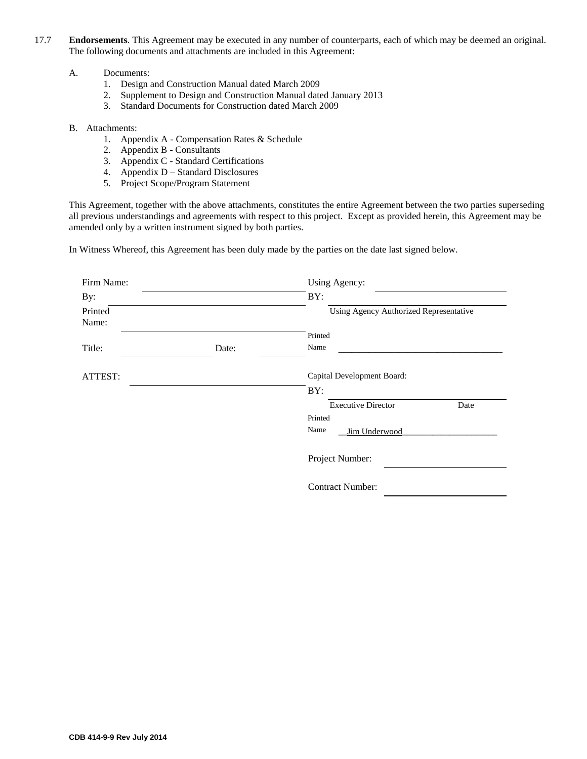- 17.7 **Endorsements**. This Agreement may be executed in any number of counterparts, each of which may be deemed an original. The following documents and attachments are included in this Agreement:
	- A. Documents:
		- 1. Design and Construction Manual dated March 2009
		- 2. Supplement to Design and Construction Manual dated January 2013
		- 3. Standard Documents for Construction dated March 2009
	- B. Attachments:
		- 1. Appendix A Compensation Rates & Schedule
		- 2. Appendix B Consultants
		- 3. Appendix C Standard Certifications
		- 4. Appendix D Standard Disclosures
		- 5. Project Scope/Program Statement

This Agreement, together with the above attachments, constitutes the entire Agreement between the two parties superseding all previous understandings and agreements with respect to this project. Except as provided herein, this Agreement may be amended only by a written instrument signed by both parties.

In Witness Whereof, this Agreement has been duly made by the parties on the date last signed below.

| Firm Name:<br>By:<br>Printed<br>Name: |  | Using Agency:<br>BY:<br>Using Agency Authorized Representative |  |        |       |         |  |
|---------------------------------------|--|----------------------------------------------------------------|--|--------|-------|---------|--|
|                                       |  |                                                                |  |        |       | Printed |  |
|                                       |  |                                                                |  | Title: | Date: | Name    |  |
| ATTEST:                               |  | Capital Development Board:                                     |  |        |       |         |  |
|                                       |  | BY:                                                            |  |        |       |         |  |
|                                       |  | <b>Executive Director</b><br>Date                              |  |        |       |         |  |
|                                       |  | Printed                                                        |  |        |       |         |  |
|                                       |  | Name<br>Jim Underwood                                          |  |        |       |         |  |
|                                       |  | Project Number:                                                |  |        |       |         |  |
|                                       |  | <b>Contract Number:</b>                                        |  |        |       |         |  |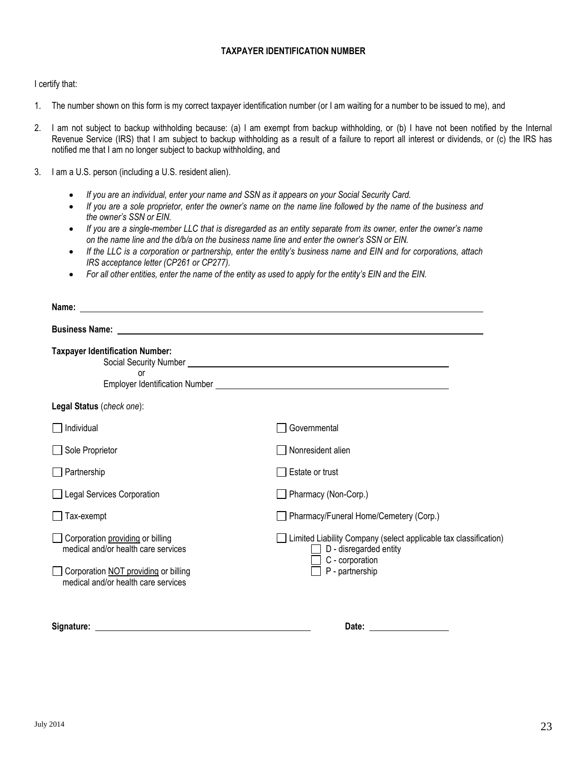## **TAXPAYER IDENTIFICATION NUMBER**

I certify that:

- 1. The number shown on this form is my correct taxpayer identification number (or I am waiting for a number to be issued to me), and
- 2. I am not subject to backup withholding because: (a) I am exempt from backup withholding, or (b) I have not been notified by the Internal Revenue Service (IRS) that I am subject to backup withholding as a result of a failure to report all interest or dividends, or (c) the IRS has notified me that I am no longer subject to backup withholding, and
- 3. I am a U.S. person (including a U.S. resident alien).
	- *If you are an individual, enter your name and SSN as it appears on your Social Security Card.*
	- If you are a sole proprietor, enter the owner's name on the name line followed by the name of the business and *the owner's SSN or EIN.*
	- *If you are a single-member LLC that is disregarded as an entity separate from its owner, enter the owner's name on the name line and the d/b/a on the business name line and enter the owner's SSN or EIN.*
	- *If the LLC is a corporation or partnership, enter the entity's business name and EIN and for corporations, attach IRS acceptance letter (CP261 or CP277).*
	- *For all other entities, enter the name of the entity as used to apply for the entity's EIN and the EIN.*

| Name:                                                                                                                                                                                                                                |                                                                                                                                                |  |  |  |  |
|--------------------------------------------------------------------------------------------------------------------------------------------------------------------------------------------------------------------------------------|------------------------------------------------------------------------------------------------------------------------------------------------|--|--|--|--|
| Business Name: <u>Discussion and the contract of the contract of the contract of the contract of the contract of the contract of the contract of the contract of the contract of the contract of the contract of the contract of</u> |                                                                                                                                                |  |  |  |  |
| <b>Taxpayer Identification Number:</b><br>or                                                                                                                                                                                         |                                                                                                                                                |  |  |  |  |
| Legal Status (check one):                                                                                                                                                                                                            |                                                                                                                                                |  |  |  |  |
| Individual                                                                                                                                                                                                                           | Governmental                                                                                                                                   |  |  |  |  |
| Sole Proprietor                                                                                                                                                                                                                      | Nonresident alien                                                                                                                              |  |  |  |  |
| Partnership                                                                                                                                                                                                                          | Estate or trust                                                                                                                                |  |  |  |  |
| Legal Services Corporation                                                                                                                                                                                                           | Pharmacy (Non-Corp.)                                                                                                                           |  |  |  |  |
| Tax-exempt                                                                                                                                                                                                                           | Pharmacy/Funeral Home/Cemetery (Corp.)                                                                                                         |  |  |  |  |
| Corporation providing or billing<br>medical and/or health care services<br>Corporation NOT providing or billing<br>medical and/or health care services                                                                               | Limited Liability Company (select applicable tax classification)<br>$\Box$ D - disregarded entity<br>$\Box$ C - corporation<br>P - partnership |  |  |  |  |
| Signature:                                                                                                                                                                                                                           | Date:                                                                                                                                          |  |  |  |  |